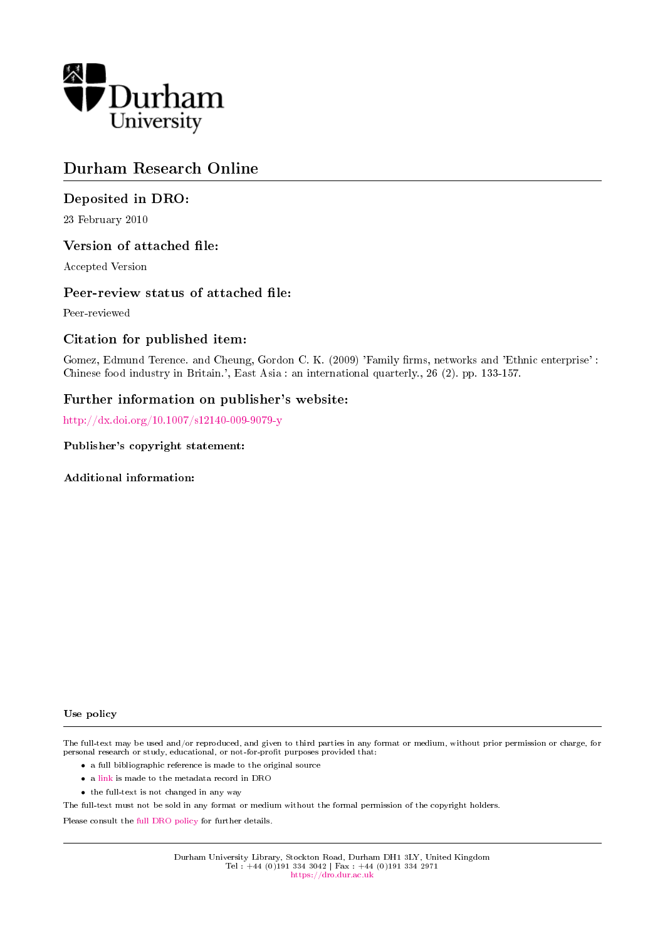

# Durham Research Online

# Deposited in DRO:

23 February 2010

# Version of attached file:

Accepted Version

# Peer-review status of attached file:

Peer-reviewed

# Citation for published item:

Gomez, Edmund Terence. and Cheung, Gordon C. K. (2009) 'Family firms, networks and 'Ethnic enterprise' : Chinese food industry in Britain.', East Asia : an international quarterly., 26 (2). pp. 133-157.

# Further information on publisher's website:

<http://dx.doi.org/10.1007/s12140-009-9079-y>

Publisher's copyright statement:

Additional information:

#### Use policy

The full-text may be used and/or reproduced, and given to third parties in any format or medium, without prior permission or charge, for personal research or study, educational, or not-for-profit purposes provided that:

- a full bibliographic reference is made to the original source
- a [link](http://dro.dur.ac.uk/6464/) is made to the metadata record in DRO
- the full-text is not changed in any way

The full-text must not be sold in any format or medium without the formal permission of the copyright holders.

Please consult the [full DRO policy](https://dro.dur.ac.uk/policies/usepolicy.pdf) for further details.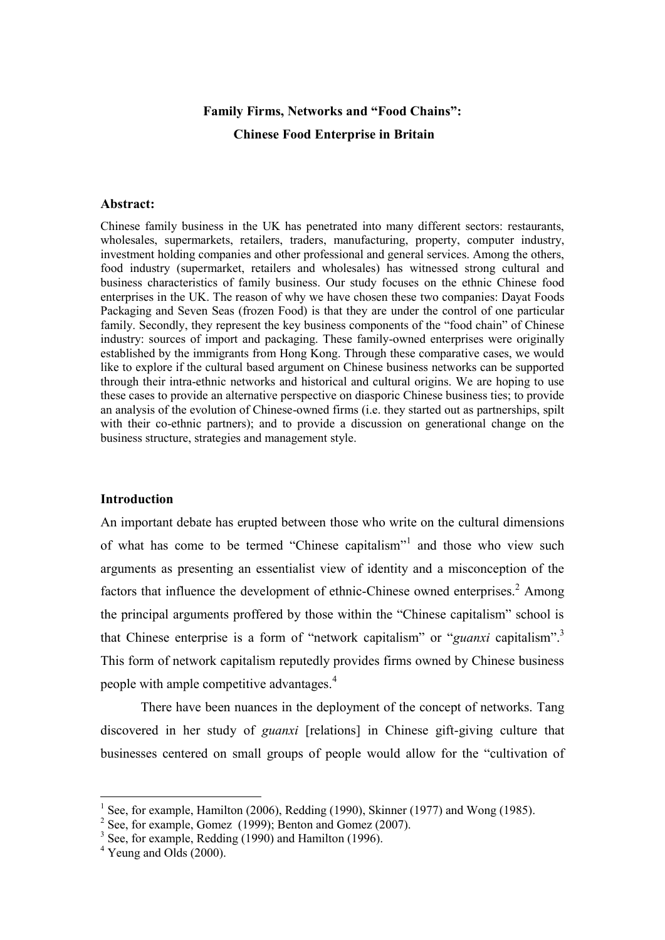# **Family Firms, Networks and "Food Chains": Chinese Food Enterprise in Britain**

#### **Abstract:**

Chinese family business in the UK has penetrated into many different sectors: restaurants, wholesales, supermarkets, retailers, traders, manufacturing, property, computer industry, investment holding companies and other professional and general services. Among the others, food industry (supermarket, retailers and wholesales) has witnessed strong cultural and business characteristics of family business. Our study focuses on the ethnic Chinese food enterprises in the UK. The reason of why we have chosen these two companies: Dayat Foods Packaging and Seven Seas (frozen Food) is that they are under the control of one particular family. Secondly, they represent the key business components of the "food chain" of Chinese industry: sources of import and packaging. These family-owned enterprises were originally established by the immigrants from Hong Kong. Through these comparative cases, we would like to explore if the cultural based argument on Chinese business networks can be supported through their intra-ethnic networks and historical and cultural origins. We are hoping to use these cases to provide an alternative perspective on diasporic Chinese business ties; to provide an analysis of the evolution of Chinese-owned firms (i.e. they started out as partnerships, spilt with their co-ethnic partners); and to provide a discussion on generational change on the business structure, strategies and management style.

#### **Introduction**

An important debate has erupted between those who write on the cultural dimensions of what has come to be termed "Chinese capitalism"<sup>1</sup> and those who view such arguments as presenting an essentialist view of identity and a misconception of the factors that influence the development of ethnic-Chinese owned enterprises.<sup>2</sup> Among the principal arguments proffered by those within the "Chinese capitalism" school is that Chinese enterprise is a form of "network capitalism" or "*guanxi* capitalism".<sup>3</sup> This form of network capitalism reputedly provides firms owned by Chinese business people with ample competitive advantages.<sup>4</sup>

There have been nuances in the deployment of the concept of networks. Tang discovered in her study of *guanxi* [relations] in Chinese gift-giving culture that businesses centered on small groups of people would allow for the "cultivation of

<sup>1</sup> See, for example, Hamilton (2006), Redding (1990), Skinner (1977) and Wong (1985).

 $2^2$  See, for example, Gomez (1999); Benton and Gomez (2007).

<sup>&</sup>lt;sup>3</sup> See, for example, Redding (1990) and Hamilton (1996).

 $4$  Yeung and Olds (2000).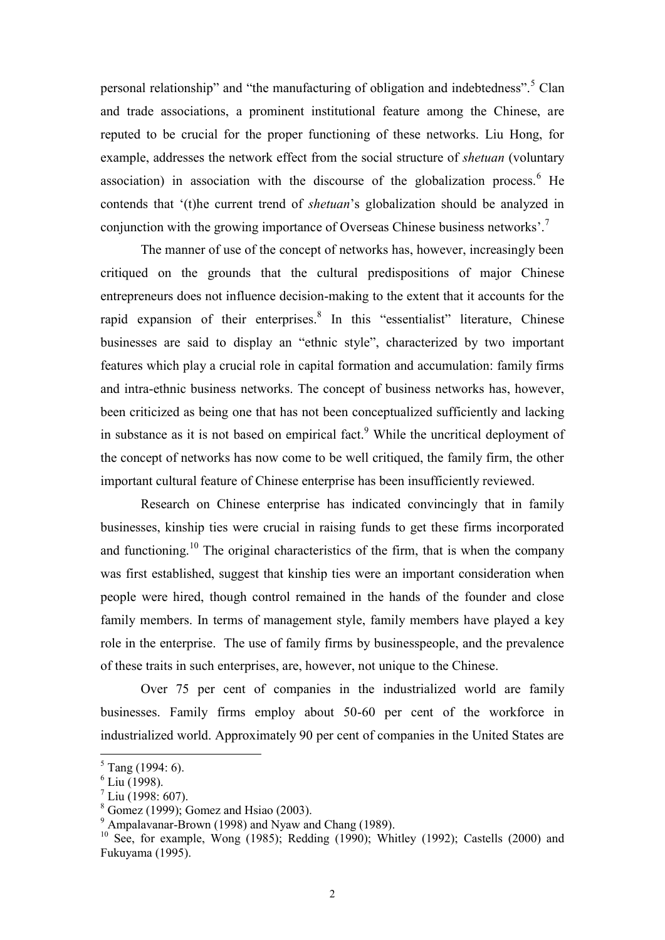personal relationship" and "the manufacturing of obligation and indebtedness".<sup>5</sup> Clan and trade associations, a prominent institutional feature among the Chinese, are reputed to be crucial for the proper functioning of these networks. Liu Hong, for example, addresses the network effect from the social structure of *shetuan* (voluntary association) in association with the discourse of the globalization process. $6$  He contends that ‗(t)he current trend of *shetuan*'s globalization should be analyzed in conjunction with the growing importance of Overseas Chinese business networks'.<sup>7</sup>

The manner of use of the concept of networks has, however, increasingly been critiqued on the grounds that the cultural predispositions of major Chinese entrepreneurs does not influence decision-making to the extent that it accounts for the rapid expansion of their enterprises.<sup>8</sup> In this "essentialist" literature, Chinese businesses are said to display an "ethnic style", characterized by two important features which play a crucial role in capital formation and accumulation: family firms and intra-ethnic business networks. The concept of business networks has, however, been criticized as being one that has not been conceptualized sufficiently and lacking in substance as it is not based on empirical fact. <sup>9</sup> While the uncritical deployment of the concept of networks has now come to be well critiqued, the family firm, the other important cultural feature of Chinese enterprise has been insufficiently reviewed.

Research on Chinese enterprise has indicated convincingly that in family businesses, kinship ties were crucial in raising funds to get these firms incorporated and functioning.<sup>10</sup> The original characteristics of the firm, that is when the company was first established, suggest that kinship ties were an important consideration when people were hired, though control remained in the hands of the founder and close family members. In terms of management style, family members have played a key role in the enterprise. The use of family firms by businesspeople, and the prevalence of these traits in such enterprises, are, however, not unique to the Chinese.

Over 75 per cent of companies in the industrialized world are family businesses. Family firms employ about 50-60 per cent of the workforce in industrialized world. Approximately 90 per cent of companies in the United States are

<u>.</u>

 $5$  Tang (1994: 6).

 $6$  Liu (1998).

 $^7$  Liu (1998: 607).

 $8$  Gomez (1999); Gomez and Hsiao (2003).

<sup>9</sup> Ampalavanar-Brown (1998) and Nyaw and Chang (1989).

<sup>&</sup>lt;sup>10</sup> See, for example, Wong (1985); Redding (1990); Whitley (1992); Castells (2000) and Fukuyama (1995).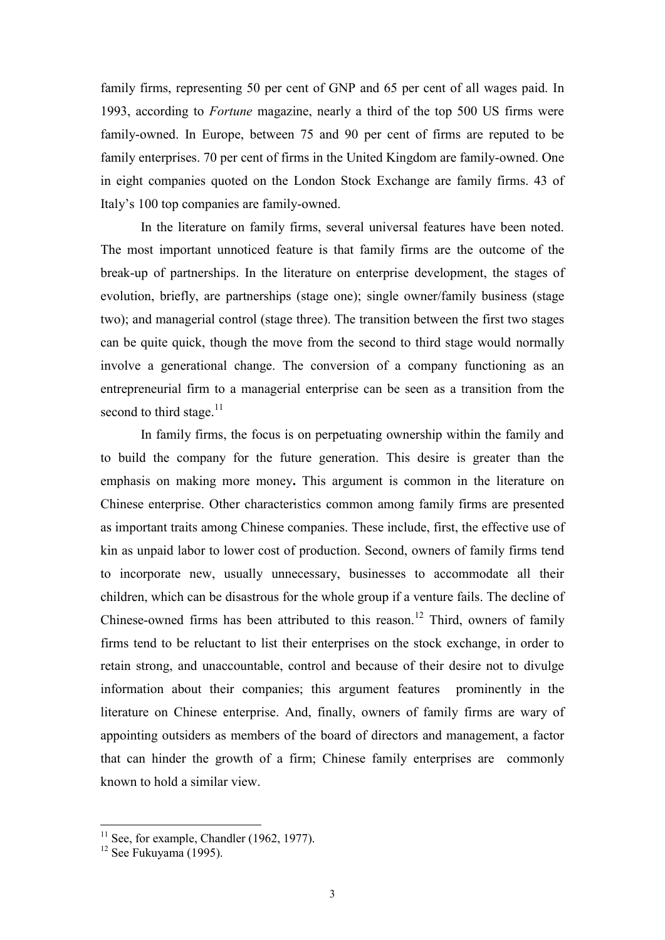family firms, representing 50 per cent of GNP and 65 per cent of all wages paid. In 1993, according to *Fortune* magazine, nearly a third of the top 500 US firms were family-owned. In Europe, between 75 and 90 per cent of firms are reputed to be family enterprises. 70 per cent of firms in the United Kingdom are family-owned. One in eight companies quoted on the London Stock Exchange are family firms. 43 of Italy's 100 top companies are family-owned.

In the literature on family firms, several universal features have been noted. The most important unnoticed feature is that family firms are the outcome of the break-up of partnerships. In the literature on enterprise development, the stages of evolution, briefly, are partnerships (stage one); single owner/family business (stage two); and managerial control (stage three). The transition between the first two stages can be quite quick, though the move from the second to third stage would normally involve a generational change. The conversion of a company functioning as an entrepreneurial firm to a managerial enterprise can be seen as a transition from the second to third stage.<sup>11</sup>

In family firms, the focus is on perpetuating ownership within the family and to build the company for the future generation. This desire is greater than the emphasis on making more money**.** This argument is common in the literature on Chinese enterprise. Other characteristics common among family firms are presented as important traits among Chinese companies. These include, first, the effective use of kin as unpaid labor to lower cost of production. Second, owners of family firms tend to incorporate new, usually unnecessary, businesses to accommodate all their children, which can be disastrous for the whole group if a venture fails. The decline of Chinese-owned firms has been attributed to this reason.<sup>12</sup> Third, owners of family firms tend to be reluctant to list their enterprises on the stock exchange, in order to retain strong, and unaccountable, control and because of their desire not to divulge information about their companies; this argument features prominently in the literature on Chinese enterprise. And, finally, owners of family firms are wary of appointing outsiders as members of the board of directors and management, a factor that can hinder the growth of a firm; Chinese family enterprises are commonly known to hold a similar view.

 $11$  See, for example, Chandler (1962, 1977).

 $12$  See Fukuyama (1995).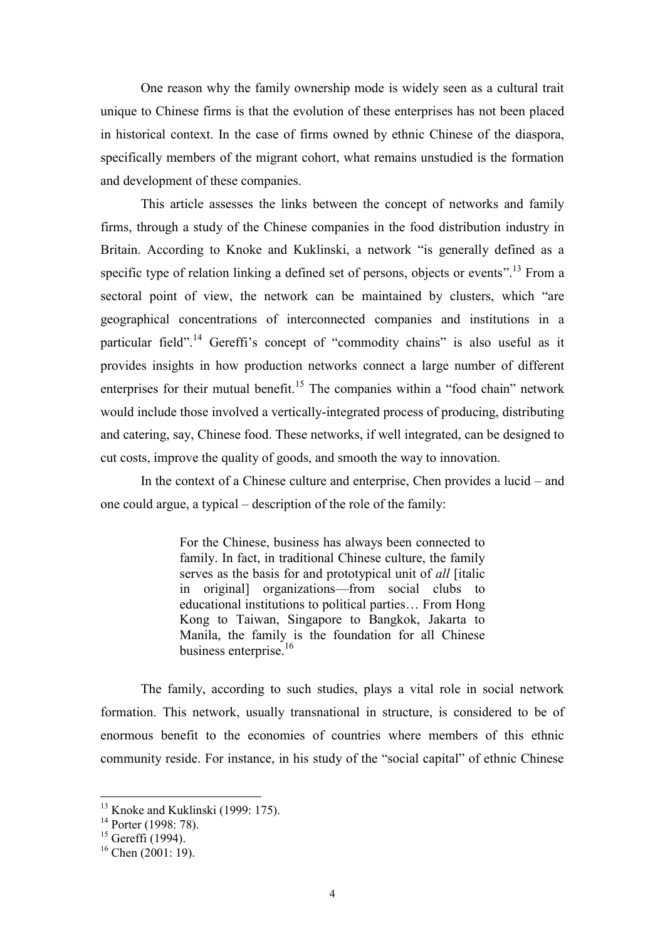One reason why the family ownership mode is widely seen as a cultural trait unique to Chinese firms is that the evolution of these enterprises has not been placed in historical context. In the case of firms owned by ethnic Chinese of the diaspora, specifically members of the migrant cohort, what remains unstudied is the formation and development of these companies.

This article assesses the links between the concept of networks and family firms, through a study of the Chinese companies in the food distribution industry in Britain. According to Knoke and Kuklinski, a network "is generally defined as a specific type of relation linking a defined set of persons, objects or events".<sup>13</sup> From a sectoral point of view, the network can be maintained by clusters, which "are geographical concentrations of interconnected companies and institutions in a particular field".<sup>14</sup> Gereffi's concept of "commodity chains" is also useful as it provides insights in how production networks connect a large number of different enterprises for their mutual benefit.<sup>15</sup> The companies within a "food chain" network would include those involved a vertically-integrated process of producing, distributing and catering, say, Chinese food. These networks, if well integrated, can be designed to cut costs, improve the quality of goods, and smooth the way to innovation.

In the context of a Chinese culture and enterprise, Chen provides a lucid – and one could argue, a typical – description of the role of the family:

> For the Chinese, business has always been connected to family. In fact, in traditional Chinese culture, the family serves as the basis for and prototypical unit of *all* [italic in original] organizations—from social clubs to educational institutions to political parties… From Hong Kong to Taiwan, Singapore to Bangkok, Jakarta to Manila, the family is the foundation for all Chinese business enterprise.<sup>16</sup>

The family, according to such studies, plays a vital role in social network formation. This network, usually transnational in structure, is considered to be of enormous benefit to the economies of countries where members of this ethnic community reside. For instance, in his study of the "social capital" of ethnic Chinese

 $13$  Knoke and Kuklinski (1999: 175).

 $14$  Porter (1998: 78).

 $15$  Gereffi (1994).

 $16$  Chen (2001: 19).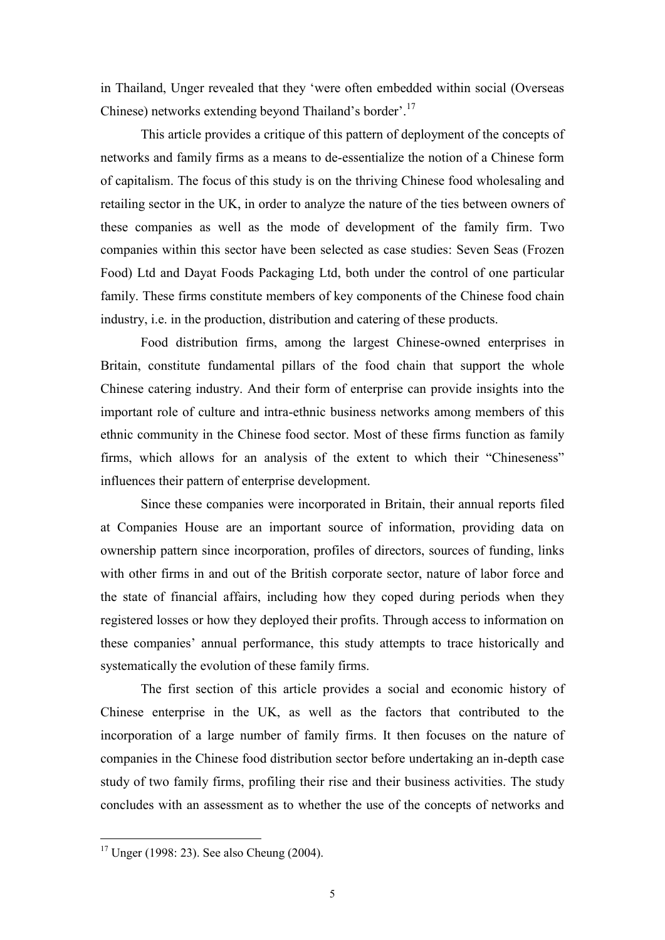in Thailand, Unger revealed that they 'were often embedded within social (Overseas Chinese) networks extending beyond Thailand's border'.<sup>17</sup>

This article provides a critique of this pattern of deployment of the concepts of networks and family firms as a means to de-essentialize the notion of a Chinese form of capitalism. The focus of this study is on the thriving Chinese food wholesaling and retailing sector in the UK, in order to analyze the nature of the ties between owners of these companies as well as the mode of development of the family firm. Two companies within this sector have been selected as case studies: Seven Seas (Frozen Food) Ltd and Dayat Foods Packaging Ltd, both under the control of one particular family. These firms constitute members of key components of the Chinese food chain industry, i.e. in the production, distribution and catering of these products.

Food distribution firms, among the largest Chinese-owned enterprises in Britain, constitute fundamental pillars of the food chain that support the whole Chinese catering industry. And their form of enterprise can provide insights into the important role of culture and intra-ethnic business networks among members of this ethnic community in the Chinese food sector. Most of these firms function as family firms, which allows for an analysis of the extent to which their "Chineseness" influences their pattern of enterprise development.

Since these companies were incorporated in Britain, their annual reports filed at Companies House are an important source of information, providing data on ownership pattern since incorporation, profiles of directors, sources of funding, links with other firms in and out of the British corporate sector, nature of labor force and the state of financial affairs, including how they coped during periods when they registered losses or how they deployed their profits. Through access to information on these companies' annual performance, this study attempts to trace historically and systematically the evolution of these family firms.

The first section of this article provides a social and economic history of Chinese enterprise in the UK, as well as the factors that contributed to the incorporation of a large number of family firms. It then focuses on the nature of companies in the Chinese food distribution sector before undertaking an in-depth case study of two family firms, profiling their rise and their business activities. The study concludes with an assessment as to whether the use of the concepts of networks and

 $17$  Unger (1998: 23). See also Cheung (2004).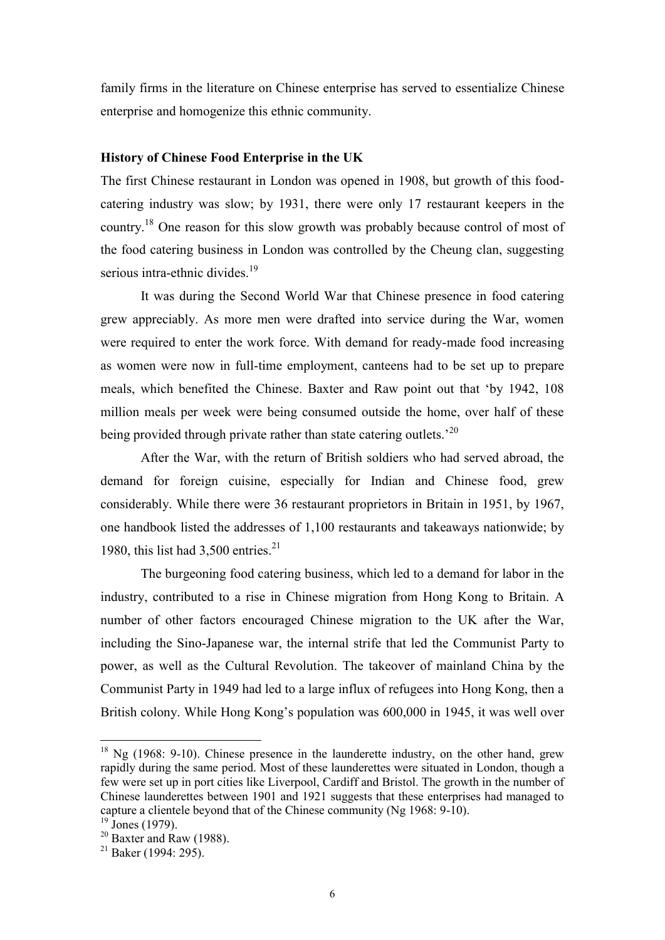family firms in the literature on Chinese enterprise has served to essentialize Chinese enterprise and homogenize this ethnic community.

# **History of Chinese Food Enterprise in the UK**

The first Chinese restaurant in London was opened in 1908, but growth of this foodcatering industry was slow; by 1931, there were only 17 restaurant keepers in the country.<sup>18</sup> One reason for this slow growth was probably because control of most of the food catering business in London was controlled by the Cheung clan, suggesting serious intra-ethnic divides.<sup>19</sup>

It was during the Second World War that Chinese presence in food catering grew appreciably. As more men were drafted into service during the War, women were required to enter the work force. With demand for ready-made food increasing as women were now in full-time employment, canteens had to be set up to prepare meals, which benefited the Chinese. Baxter and Raw point out that 'by 1942, 108 million meals per week were being consumed outside the home, over half of these being provided through private rather than state catering outlets.<sup>20</sup>

After the War, with the return of British soldiers who had served abroad, the demand for foreign cuisine, especially for Indian and Chinese food, grew considerably. While there were 36 restaurant proprietors in Britain in 1951, by 1967, one handbook listed the addresses of 1,100 restaurants and takeaways nationwide; by 1980, this list had  $3,500$  entries.<sup>21</sup>

The burgeoning food catering business, which led to a demand for labor in the industry, contributed to a rise in Chinese migration from Hong Kong to Britain. A number of other factors encouraged Chinese migration to the UK after the War, including the Sino-Japanese war, the internal strife that led the Communist Party to power, as well as the Cultural Revolution. The takeover of mainland China by the Communist Party in 1949 had led to a large influx of refugees into Hong Kong, then a British colony. While Hong Kong's population was 600,000 in 1945, it was well over

 $18$  Ng (1968: 9-10). Chinese presence in the launderette industry, on the other hand, grew rapidly during the same period. Most of these launderettes were situated in London, though a few were set up in port cities like Liverpool, Cardiff and Bristol. The growth in the number of Chinese launderettes between 1901 and 1921 suggests that these enterprises had managed to capture a clientele beyond that of the Chinese community (Ng 1968: 9-10).

 $^{19}$  Jones (1979).

 $20$  Baxter and Raw (1988).

<sup>&</sup>lt;sup>21</sup> Baker (1994: 295).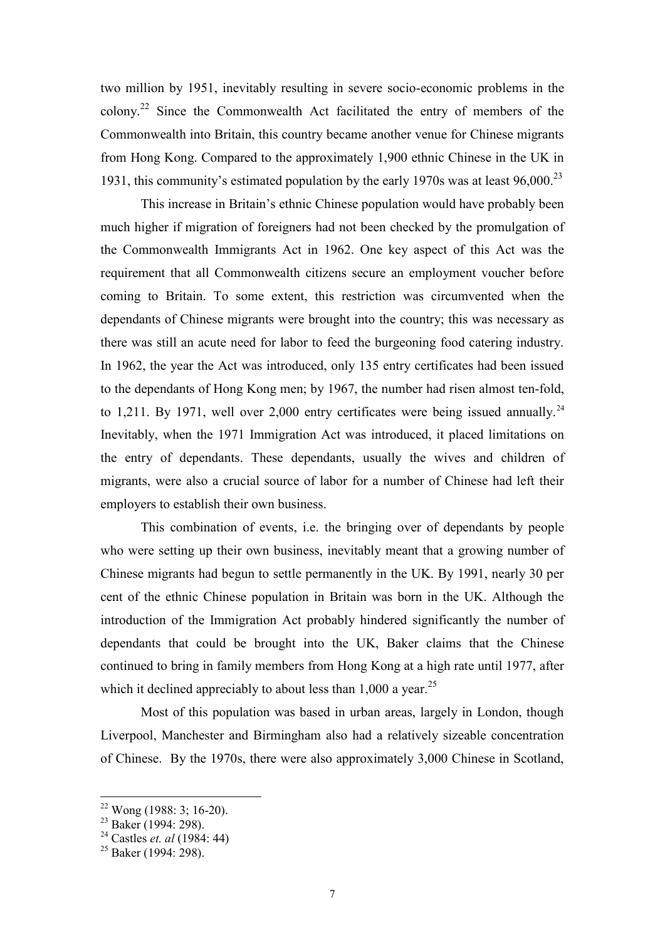two million by 1951, inevitably resulting in severe socio-economic problems in the colony.<sup>22</sup> Since the Commonwealth Act facilitated the entry of members of the Commonwealth into Britain, this country became another venue for Chinese migrants from Hong Kong. Compared to the approximately 1,900 ethnic Chinese in the UK in 1931, this community's estimated population by the early 1970s was at least 96,000.<sup>23</sup>

This increase in Britain's ethnic Chinese population would have probably been much higher if migration of foreigners had not been checked by the promulgation of the Commonwealth Immigrants Act in 1962. One key aspect of this Act was the requirement that all Commonwealth citizens secure an employment voucher before coming to Britain. To some extent, this restriction was circumvented when the dependants of Chinese migrants were brought into the country; this was necessary as there was still an acute need for labor to feed the burgeoning food catering industry. In 1962, the year the Act was introduced, only 135 entry certificates had been issued to the dependants of Hong Kong men; by 1967, the number had risen almost ten-fold, to 1,211. By 1971, well over 2,000 entry certificates were being issued annually.<sup>24</sup> Inevitably, when the 1971 Immigration Act was introduced, it placed limitations on the entry of dependants. These dependants, usually the wives and children of migrants, were also a crucial source of labor for a number of Chinese had left their employers to establish their own business.

This combination of events, i.e. the bringing over of dependants by people who were setting up their own business, inevitably meant that a growing number of Chinese migrants had begun to settle permanently in the UK. By 1991, nearly 30 per cent of the ethnic Chinese population in Britain was born in the UK. Although the introduction of the Immigration Act probably hindered significantly the number of dependants that could be brought into the UK, Baker claims that the Chinese continued to bring in family members from Hong Kong at a high rate until 1977, after which it declined appreciably to about less than  $1,000$  a year.<sup>25</sup>

Most of this population was based in urban areas, largely in London, though Liverpool, Manchester and Birmingham also had a relatively sizeable concentration of Chinese. By the 1970s, there were also approximately 3,000 Chinese in Scotland,

 $22$  Wong (1988: 3; 16-20).

<sup>&</sup>lt;sup>23</sup> Baker (1994: 298).

<sup>24</sup> Castles *et. al* (1984: 44)

<sup>&</sup>lt;sup>25</sup> Baker (1994: 298).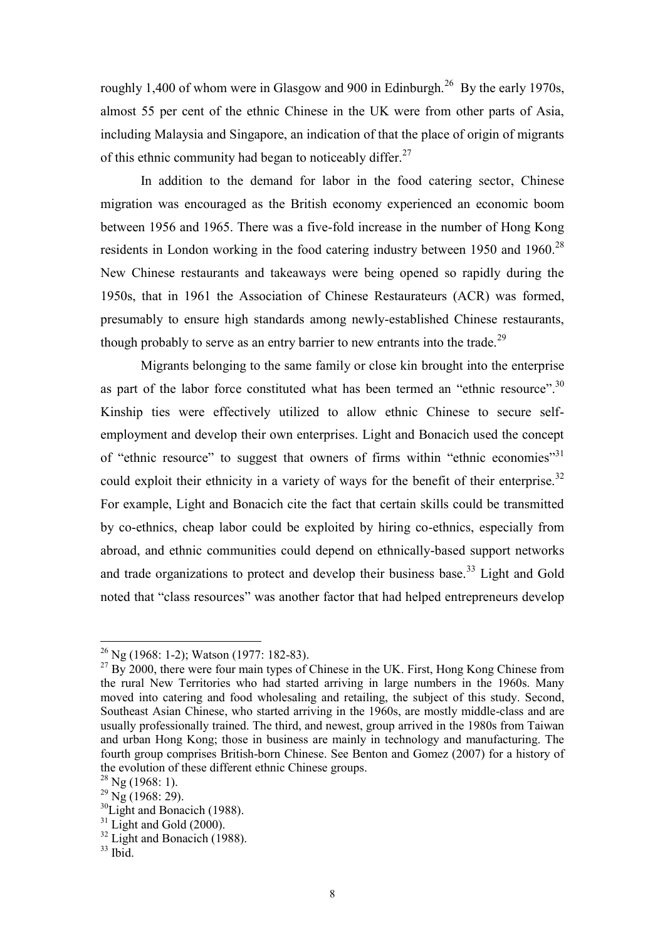roughly 1,400 of whom were in Glasgow and 900 in Edinburgh.<sup>26</sup> By the early 1970s, almost 55 per cent of the ethnic Chinese in the UK were from other parts of Asia, including Malaysia and Singapore, an indication of that the place of origin of migrants of this ethnic community had began to noticeably differ.<sup>27</sup>

In addition to the demand for labor in the food catering sector, Chinese migration was encouraged as the British economy experienced an economic boom between 1956 and 1965. There was a five-fold increase in the number of Hong Kong residents in London working in the food catering industry between 1950 and 1960.<sup>28</sup> New Chinese restaurants and takeaways were being opened so rapidly during the 1950s, that in 1961 the Association of Chinese Restaurateurs (ACR) was formed, presumably to ensure high standards among newly-established Chinese restaurants, though probably to serve as an entry barrier to new entrants into the trade.<sup>29</sup>

Migrants belonging to the same family or close kin brought into the enterprise as part of the labor force constituted what has been termed an "ethnic resource".<sup>30</sup> Kinship ties were effectively utilized to allow ethnic Chinese to secure selfemployment and develop their own enterprises. Light and Bonacich used the concept of "ethnic resource" to suggest that owners of firms within "ethnic economies"<sup>31</sup> could exploit their ethnicity in a variety of ways for the benefit of their enterprise.<sup>32</sup> For example, Light and Bonacich cite the fact that certain skills could be transmitted by co-ethnics, cheap labor could be exploited by hiring co-ethnics, especially from abroad, and ethnic communities could depend on ethnically-based support networks and trade organizations to protect and develop their business base.<sup>33</sup> Light and Gold noted that "class resources" was another factor that had helped entrepreneurs develop

 $^{26}$  Ng (1968: 1-2); Watson (1977: 182-83).

 $27 \text{ By } 2000$ , there were four main types of Chinese in the UK. First, Hong Kong Chinese from the rural New Territories who had started arriving in large numbers in the 1960s. Many moved into catering and food wholesaling and retailing, the subject of this study. Second, Southeast Asian Chinese, who started arriving in the 1960s, are mostly middle-class and are usually professionally trained. The third, and newest, group arrived in the 1980s from Taiwan and urban Hong Kong; those in business are mainly in technology and manufacturing. The fourth group comprises British-born Chinese. See Benton and Gomez (2007) for a history of the evolution of these different ethnic Chinese groups.

 $^{28}$  Ng (1968: 1).

 $^{29}$  Ng (1968: 29).

<sup>&</sup>lt;sup>30</sup>Light and Bonacich (1988).

 $31$  Light and Gold (2000).

 $32$  Light and Bonacich (1988).

 $33$  Ibid.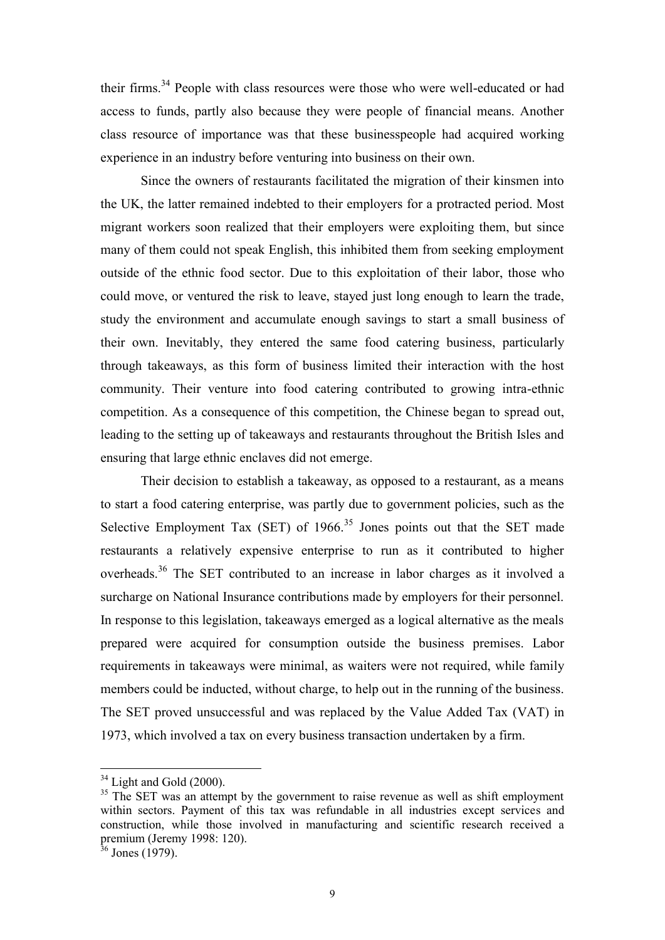their firms.<sup>34</sup> People with class resources were those who were well-educated or had access to funds, partly also because they were people of financial means. Another class resource of importance was that these businesspeople had acquired working experience in an industry before venturing into business on their own.

Since the owners of restaurants facilitated the migration of their kinsmen into the UK, the latter remained indebted to their employers for a protracted period. Most migrant workers soon realized that their employers were exploiting them, but since many of them could not speak English, this inhibited them from seeking employment outside of the ethnic food sector. Due to this exploitation of their labor, those who could move, or ventured the risk to leave, stayed just long enough to learn the trade, study the environment and accumulate enough savings to start a small business of their own. Inevitably, they entered the same food catering business, particularly through takeaways, as this form of business limited their interaction with the host community. Their venture into food catering contributed to growing intra-ethnic competition. As a consequence of this competition, the Chinese began to spread out, leading to the setting up of takeaways and restaurants throughout the British Isles and ensuring that large ethnic enclaves did not emerge.

Their decision to establish a takeaway, as opposed to a restaurant, as a means to start a food catering enterprise, was partly due to government policies, such as the Selective Employment Tax (SET) of  $1966<sup>35</sup>$  Jones points out that the SET made restaurants a relatively expensive enterprise to run as it contributed to higher overheads.<sup>36</sup> The SET contributed to an increase in labor charges as it involved a surcharge on National Insurance contributions made by employers for their personnel. In response to this legislation, takeaways emerged as a logical alternative as the meals prepared were acquired for consumption outside the business premises. Labor requirements in takeaways were minimal, as waiters were not required, while family members could be inducted, without charge, to help out in the running of the business. The SET proved unsuccessful and was replaced by the Value Added Tax (VAT) in 1973, which involved a tax on every business transaction undertaken by a firm.

 $34$  Light and Gold (2000).

<sup>&</sup>lt;sup>35</sup> The SET was an attempt by the government to raise revenue as well as shift employment within sectors. Payment of this tax was refundable in all industries except services and construction, while those involved in manufacturing and scientific research received a premium (Jeremy 1998: 120).

 $36$  Jones (1979).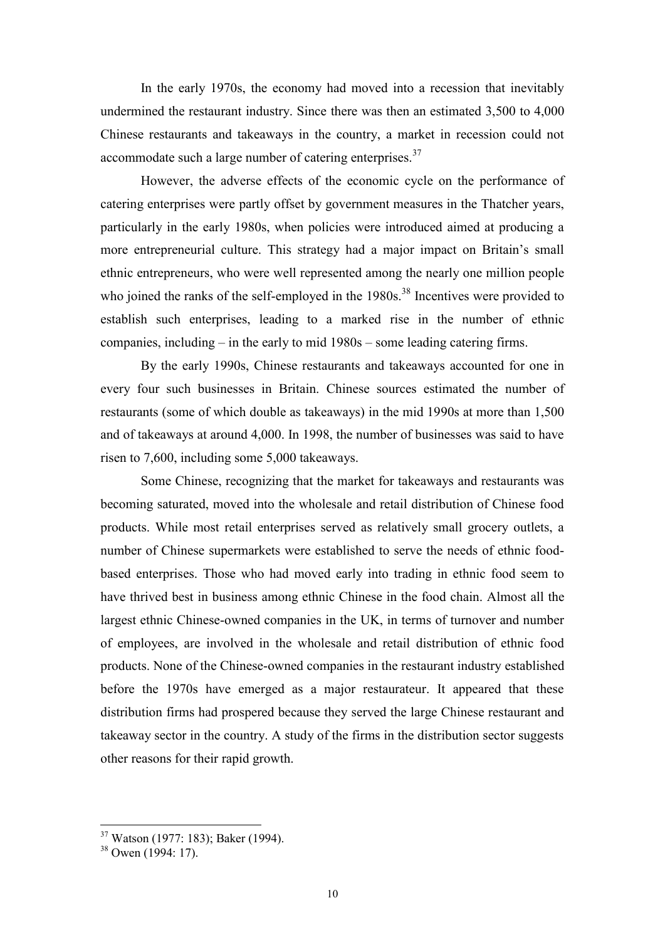In the early 1970s, the economy had moved into a recession that inevitably undermined the restaurant industry. Since there was then an estimated 3,500 to 4,000 Chinese restaurants and takeaways in the country, a market in recession could not accommodate such a large number of catering enterprises.<sup>37</sup>

However, the adverse effects of the economic cycle on the performance of catering enterprises were partly offset by government measures in the Thatcher years, particularly in the early 1980s, when policies were introduced aimed at producing a more entrepreneurial culture. This strategy had a major impact on Britain's small ethnic entrepreneurs, who were well represented among the nearly one million people who joined the ranks of the self-employed in the 1980s.<sup>38</sup> Incentives were provided to establish such enterprises, leading to a marked rise in the number of ethnic companies, including – in the early to mid 1980s – some leading catering firms.

By the early 1990s, Chinese restaurants and takeaways accounted for one in every four such businesses in Britain. Chinese sources estimated the number of restaurants (some of which double as takeaways) in the mid 1990s at more than 1,500 and of takeaways at around 4,000. In 1998, the number of businesses was said to have risen to 7,600, including some 5,000 takeaways.

Some Chinese, recognizing that the market for takeaways and restaurants was becoming saturated, moved into the wholesale and retail distribution of Chinese food products. While most retail enterprises served as relatively small grocery outlets, a number of Chinese supermarkets were established to serve the needs of ethnic foodbased enterprises. Those who had moved early into trading in ethnic food seem to have thrived best in business among ethnic Chinese in the food chain. Almost all the largest ethnic Chinese-owned companies in the UK, in terms of turnover and number of employees, are involved in the wholesale and retail distribution of ethnic food products. None of the Chinese-owned companies in the restaurant industry established before the 1970s have emerged as a major restaurateur. It appeared that these distribution firms had prospered because they served the large Chinese restaurant and takeaway sector in the country. A study of the firms in the distribution sector suggests other reasons for their rapid growth.

<sup>&</sup>lt;sup>37</sup> Watson (1977: 183); Baker (1994).

 $38$  Owen (1994: 17).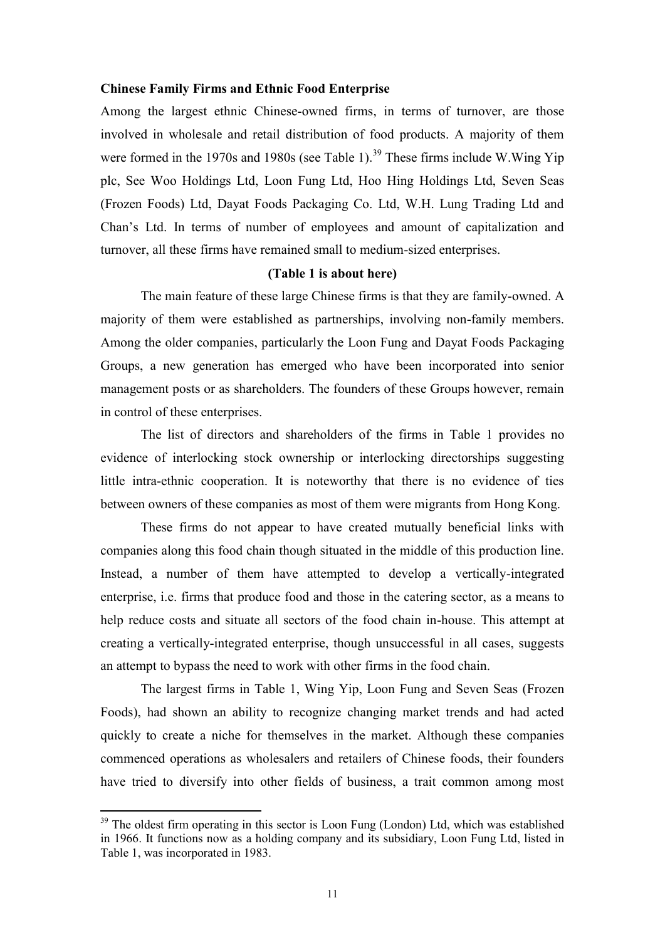#### **Chinese Family Firms and Ethnic Food Enterprise**

Among the largest ethnic Chinese-owned firms, in terms of turnover, are those involved in wholesale and retail distribution of food products. A majority of them were formed in the 1970s and 1980s (see Table 1).<sup>39</sup> These firms include W.Wing Yip plc, See Woo Holdings Ltd, Loon Fung Ltd, Hoo Hing Holdings Ltd, Seven Seas (Frozen Foods) Ltd, Dayat Foods Packaging Co. Ltd, W.H. Lung Trading Ltd and Chan's Ltd. In terms of number of employees and amount of capitalization and turnover, all these firms have remained small to medium-sized enterprises.

# **(Table 1 is about here)**

The main feature of these large Chinese firms is that they are family-owned. A majority of them were established as partnerships, involving non-family members. Among the older companies, particularly the Loon Fung and Dayat Foods Packaging Groups, a new generation has emerged who have been incorporated into senior management posts or as shareholders. The founders of these Groups however, remain in control of these enterprises.

The list of directors and shareholders of the firms in Table 1 provides no evidence of interlocking stock ownership or interlocking directorships suggesting little intra-ethnic cooperation. It is noteworthy that there is no evidence of ties between owners of these companies as most of them were migrants from Hong Kong.

These firms do not appear to have created mutually beneficial links with companies along this food chain though situated in the middle of this production line. Instead, a number of them have attempted to develop a vertically-integrated enterprise, i.e. firms that produce food and those in the catering sector, as a means to help reduce costs and situate all sectors of the food chain in-house. This attempt at creating a vertically-integrated enterprise, though unsuccessful in all cases, suggests an attempt to bypass the need to work with other firms in the food chain.

The largest firms in Table 1, Wing Yip, Loon Fung and Seven Seas (Frozen Foods), had shown an ability to recognize changing market trends and had acted quickly to create a niche for themselves in the market. Although these companies commenced operations as wholesalers and retailers of Chinese foods, their founders have tried to diversify into other fields of business, a trait common among most

<sup>&</sup>lt;sup>39</sup> The oldest firm operating in this sector is Loon Fung (London) Ltd, which was established in 1966. It functions now as a holding company and its subsidiary, Loon Fung Ltd, listed in Table 1, was incorporated in 1983.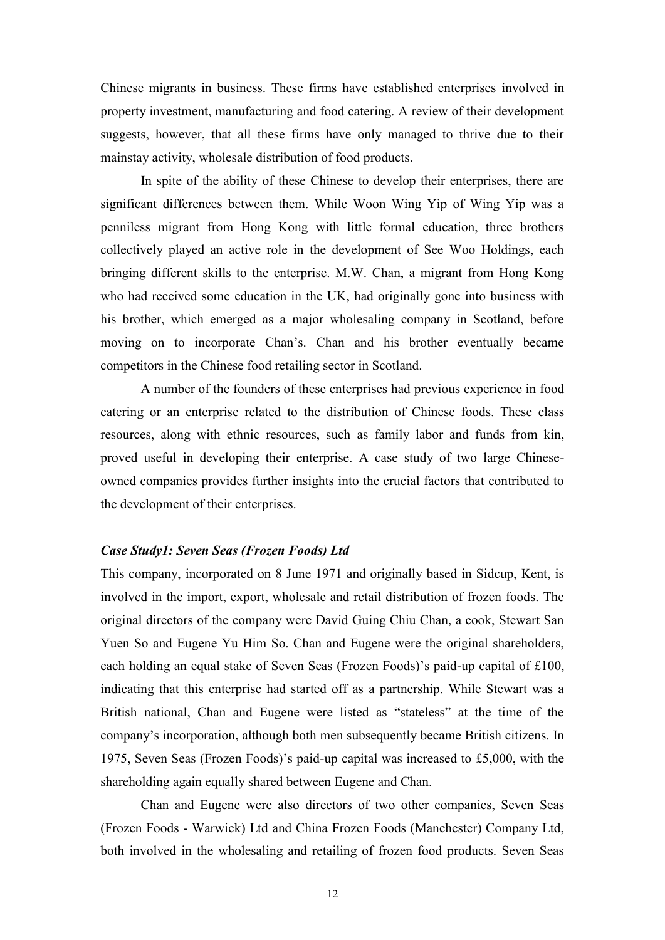Chinese migrants in business. These firms have established enterprises involved in property investment, manufacturing and food catering. A review of their development suggests, however, that all these firms have only managed to thrive due to their mainstay activity, wholesale distribution of food products.

In spite of the ability of these Chinese to develop their enterprises, there are significant differences between them. While Woon Wing Yip of Wing Yip was a penniless migrant from Hong Kong with little formal education, three brothers collectively played an active role in the development of See Woo Holdings, each bringing different skills to the enterprise. M.W. Chan, a migrant from Hong Kong who had received some education in the UK, had originally gone into business with his brother, which emerged as a major wholesaling company in Scotland, before moving on to incorporate Chan's. Chan and his brother eventually became competitors in the Chinese food retailing sector in Scotland.

A number of the founders of these enterprises had previous experience in food catering or an enterprise related to the distribution of Chinese foods. These class resources, along with ethnic resources, such as family labor and funds from kin, proved useful in developing their enterprise. A case study of two large Chineseowned companies provides further insights into the crucial factors that contributed to the development of their enterprises.

## *Case Study1: Seven Seas (Frozen Foods) Ltd*

This company, incorporated on 8 June 1971 and originally based in Sidcup, Kent, is involved in the import, export, wholesale and retail distribution of frozen foods. The original directors of the company were David Guing Chiu Chan, a cook, Stewart San Yuen So and Eugene Yu Him So. Chan and Eugene were the original shareholders, each holding an equal stake of Seven Seas (Frozen Foods)'s paid-up capital of £100, indicating that this enterprise had started off as a partnership. While Stewart was a British national, Chan and Eugene were listed as "stateless" at the time of the company's incorporation, although both men subsequently became British citizens. In 1975, Seven Seas (Frozen Foods)'s paid-up capital was increased to £5,000, with the shareholding again equally shared between Eugene and Chan.

Chan and Eugene were also directors of two other companies, Seven Seas (Frozen Foods - Warwick) Ltd and China Frozen Foods (Manchester) Company Ltd, both involved in the wholesaling and retailing of frozen food products. Seven Seas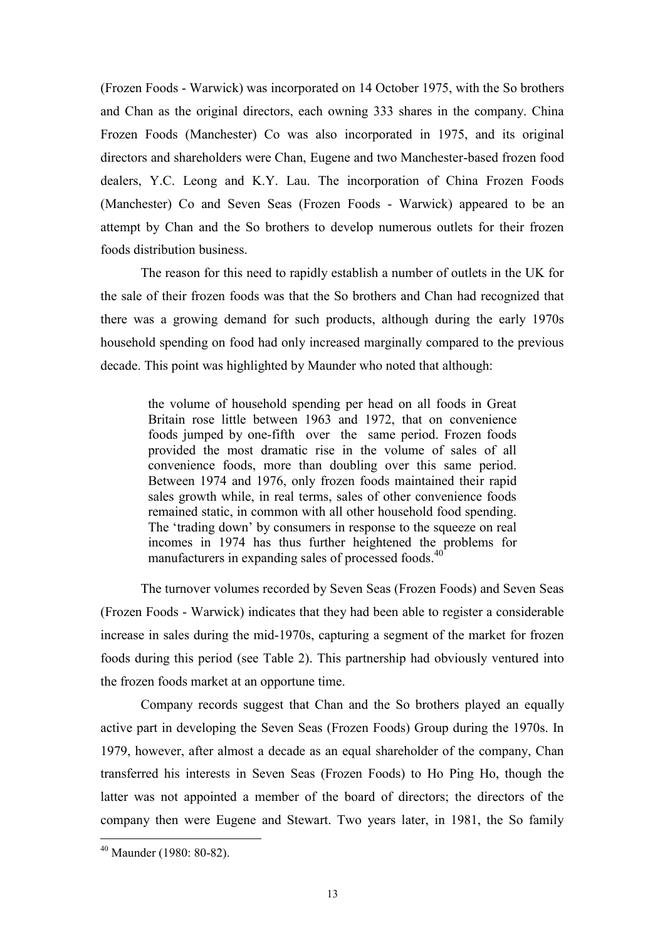(Frozen Foods - Warwick) was incorporated on 14 October 1975, with the So brothers and Chan as the original directors, each owning 333 shares in the company. China Frozen Foods (Manchester) Co was also incorporated in 1975, and its original directors and shareholders were Chan, Eugene and two Manchester-based frozen food dealers, Y.C. Leong and K.Y. Lau. The incorporation of China Frozen Foods (Manchester) Co and Seven Seas (Frozen Foods - Warwick) appeared to be an attempt by Chan and the So brothers to develop numerous outlets for their frozen foods distribution business.

The reason for this need to rapidly establish a number of outlets in the UK for the sale of their frozen foods was that the So brothers and Chan had recognized that there was a growing demand for such products, although during the early 1970s household spending on food had only increased marginally compared to the previous decade. This point was highlighted by Maunder who noted that although:

> the volume of household spending per head on all foods in Great Britain rose little between 1963 and 1972, that on convenience foods jumped by one-fifth over the same period. Frozen foods provided the most dramatic rise in the volume of sales of all convenience foods, more than doubling over this same period. Between 1974 and 1976, only frozen foods maintained their rapid sales growth while, in real terms, sales of other convenience foods remained static, in common with all other household food spending. The 'trading down' by consumers in response to the squeeze on real incomes in 1974 has thus further heightened the problems for manufacturers in expanding sales of processed foods.<sup>40</sup>

The turnover volumes recorded by Seven Seas (Frozen Foods) and Seven Seas (Frozen Foods - Warwick) indicates that they had been able to register a considerable increase in sales during the mid-1970s, capturing a segment of the market for frozen foods during this period (see Table 2). This partnership had obviously ventured into the frozen foods market at an opportune time.

Company records suggest that Chan and the So brothers played an equally active part in developing the Seven Seas (Frozen Foods) Group during the 1970s. In 1979, however, after almost a decade as an equal shareholder of the company, Chan transferred his interests in Seven Seas (Frozen Foods) to Ho Ping Ho, though the latter was not appointed a member of the board of directors; the directors of the company then were Eugene and Stewart. Two years later, in 1981, the So family

 $40$  Maunder (1980: 80-82).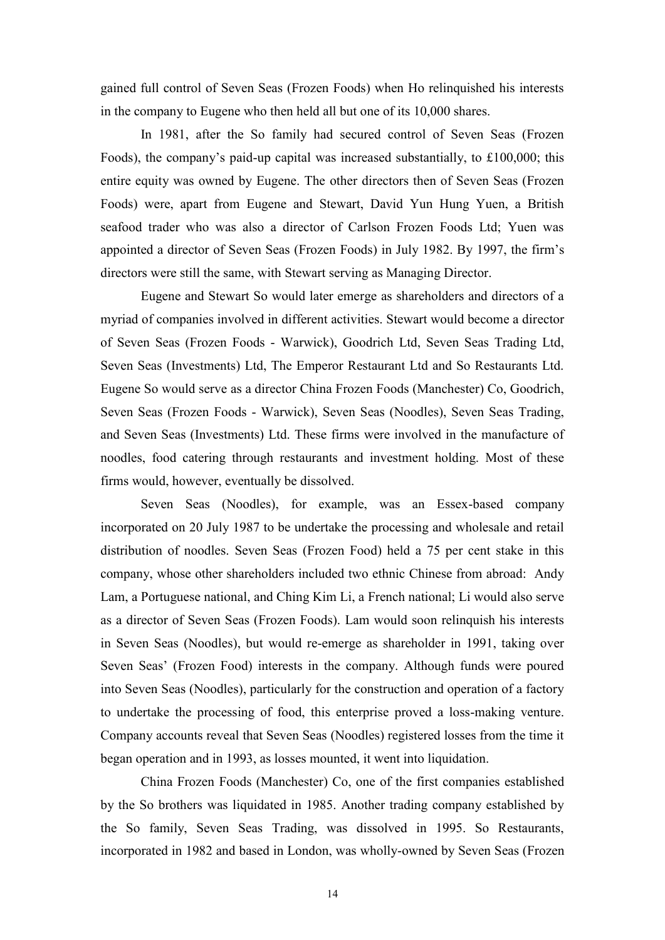gained full control of Seven Seas (Frozen Foods) when Ho relinquished his interests in the company to Eugene who then held all but one of its 10,000 shares.

In 1981, after the So family had secured control of Seven Seas (Frozen Foods), the company's paid-up capital was increased substantially, to £100,000; this entire equity was owned by Eugene. The other directors then of Seven Seas (Frozen Foods) were, apart from Eugene and Stewart, David Yun Hung Yuen, a British seafood trader who was also a director of Carlson Frozen Foods Ltd; Yuen was appointed a director of Seven Seas (Frozen Foods) in July 1982. By 1997, the firm's directors were still the same, with Stewart serving as Managing Director.

Eugene and Stewart So would later emerge as shareholders and directors of a myriad of companies involved in different activities. Stewart would become a director of Seven Seas (Frozen Foods - Warwick), Goodrich Ltd, Seven Seas Trading Ltd, Seven Seas (Investments) Ltd, The Emperor Restaurant Ltd and So Restaurants Ltd. Eugene So would serve as a director China Frozen Foods (Manchester) Co, Goodrich, Seven Seas (Frozen Foods - Warwick), Seven Seas (Noodles), Seven Seas Trading, and Seven Seas (Investments) Ltd. These firms were involved in the manufacture of noodles, food catering through restaurants and investment holding. Most of these firms would, however, eventually be dissolved.

Seven Seas (Noodles), for example, was an Essex-based company incorporated on 20 July 1987 to be undertake the processing and wholesale and retail distribution of noodles. Seven Seas (Frozen Food) held a 75 per cent stake in this company, whose other shareholders included two ethnic Chinese from abroad: Andy Lam, a Portuguese national, and Ching Kim Li, a French national; Li would also serve as a director of Seven Seas (Frozen Foods). Lam would soon relinquish his interests in Seven Seas (Noodles), but would re-emerge as shareholder in 1991, taking over Seven Seas' (Frozen Food) interests in the company. Although funds were poured into Seven Seas (Noodles), particularly for the construction and operation of a factory to undertake the processing of food, this enterprise proved a loss-making venture. Company accounts reveal that Seven Seas (Noodles) registered losses from the time it began operation and in 1993, as losses mounted, it went into liquidation.

China Frozen Foods (Manchester) Co, one of the first companies established by the So brothers was liquidated in 1985. Another trading company established by the So family, Seven Seas Trading, was dissolved in 1995. So Restaurants, incorporated in 1982 and based in London, was wholly-owned by Seven Seas (Frozen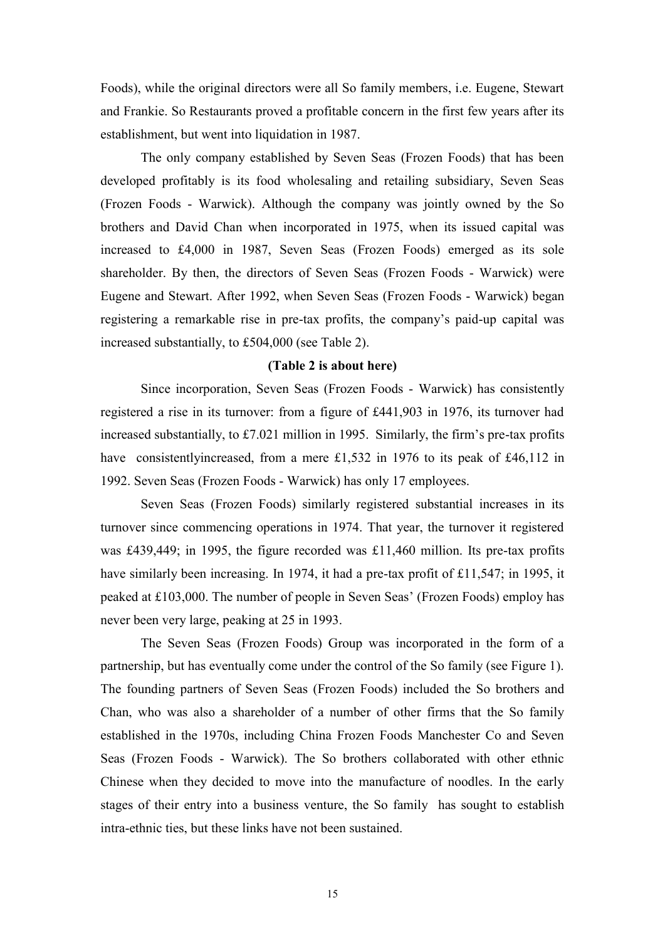Foods), while the original directors were all So family members, i.e. Eugene, Stewart and Frankie. So Restaurants proved a profitable concern in the first few years after its establishment, but went into liquidation in 1987.

The only company established by Seven Seas (Frozen Foods) that has been developed profitably is its food wholesaling and retailing subsidiary, Seven Seas (Frozen Foods - Warwick). Although the company was jointly owned by the So brothers and David Chan when incorporated in 1975, when its issued capital was increased to £4,000 in 1987, Seven Seas (Frozen Foods) emerged as its sole shareholder. By then, the directors of Seven Seas (Frozen Foods - Warwick) were Eugene and Stewart. After 1992, when Seven Seas (Frozen Foods - Warwick) began registering a remarkable rise in pre-tax profits, the company's paid-up capital was increased substantially, to £504,000 (see Table 2).

#### **(Table 2 is about here)**

Since incorporation, Seven Seas (Frozen Foods - Warwick) has consistently registered a rise in its turnover: from a figure of £441,903 in 1976, its turnover had increased substantially, to £7.021 million in 1995. Similarly, the firm's pre-tax profits have consistently increased, from a mere £1,532 in 1976 to its peak of £46,112 in 1992. Seven Seas (Frozen Foods - Warwick) has only 17 employees.

Seven Seas (Frozen Foods) similarly registered substantial increases in its turnover since commencing operations in 1974. That year, the turnover it registered was £439,449; in 1995, the figure recorded was £11,460 million. Its pre-tax profits have similarly been increasing. In 1974, it had a pre-tax profit of £11,547; in 1995, it peaked at £103,000. The number of people in Seven Seas' (Frozen Foods) employ has never been very large, peaking at 25 in 1993.

The Seven Seas (Frozen Foods) Group was incorporated in the form of a partnership, but has eventually come under the control of the So family (see Figure 1). The founding partners of Seven Seas (Frozen Foods) included the So brothers and Chan, who was also a shareholder of a number of other firms that the So family established in the 1970s, including China Frozen Foods Manchester Co and Seven Seas (Frozen Foods - Warwick). The So brothers collaborated with other ethnic Chinese when they decided to move into the manufacture of noodles. In the early stages of their entry into a business venture, the So family has sought to establish intra-ethnic ties, but these links have not been sustained.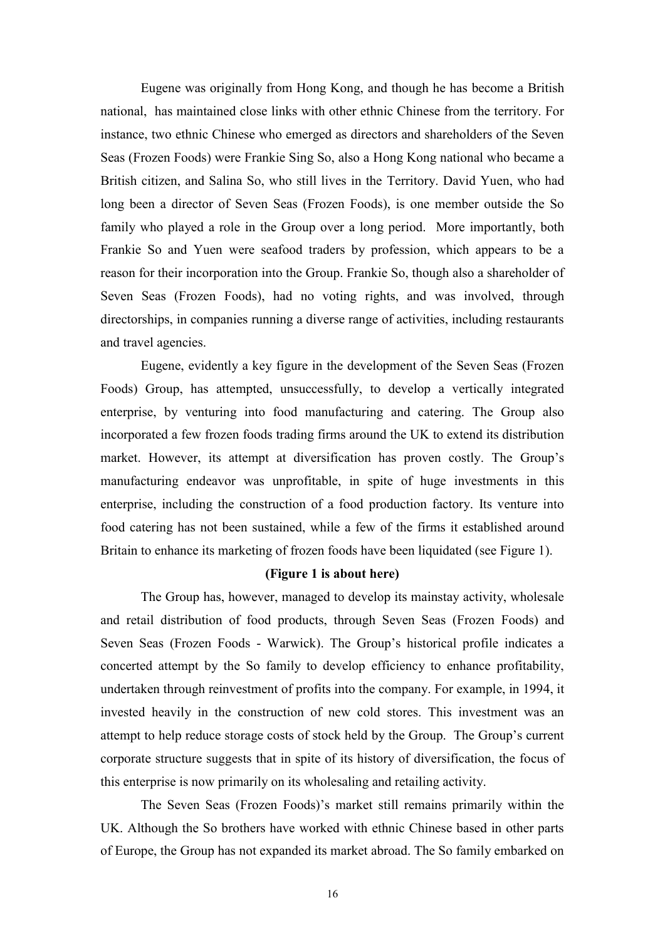Eugene was originally from Hong Kong, and though he has become a British national, has maintained close links with other ethnic Chinese from the territory. For instance, two ethnic Chinese who emerged as directors and shareholders of the Seven Seas (Frozen Foods) were Frankie Sing So, also a Hong Kong national who became a British citizen, and Salina So, who still lives in the Territory. David Yuen, who had long been a director of Seven Seas (Frozen Foods), is one member outside the So family who played a role in the Group over a long period. More importantly, both Frankie So and Yuen were seafood traders by profession, which appears to be a reason for their incorporation into the Group. Frankie So, though also a shareholder of Seven Seas (Frozen Foods), had no voting rights, and was involved, through directorships, in companies running a diverse range of activities, including restaurants and travel agencies.

Eugene, evidently a key figure in the development of the Seven Seas (Frozen Foods) Group, has attempted, unsuccessfully, to develop a vertically integrated enterprise, by venturing into food manufacturing and catering. The Group also incorporated a few frozen foods trading firms around the UK to extend its distribution market. However, its attempt at diversification has proven costly. The Group's manufacturing endeavor was unprofitable, in spite of huge investments in this enterprise, including the construction of a food production factory. Its venture into food catering has not been sustained, while a few of the firms it established around Britain to enhance its marketing of frozen foods have been liquidated (see Figure 1).

## **(Figure 1 is about here)**

The Group has, however, managed to develop its mainstay activity, wholesale and retail distribution of food products, through Seven Seas (Frozen Foods) and Seven Seas (Frozen Foods - Warwick). The Group's historical profile indicates a concerted attempt by the So family to develop efficiency to enhance profitability, undertaken through reinvestment of profits into the company. For example, in 1994, it invested heavily in the construction of new cold stores. This investment was an attempt to help reduce storage costs of stock held by the Group. The Group's current corporate structure suggests that in spite of its history of diversification, the focus of this enterprise is now primarily on its wholesaling and retailing activity.

The Seven Seas (Frozen Foods)'s market still remains primarily within the UK. Although the So brothers have worked with ethnic Chinese based in other parts of Europe, the Group has not expanded its market abroad. The So family embarked on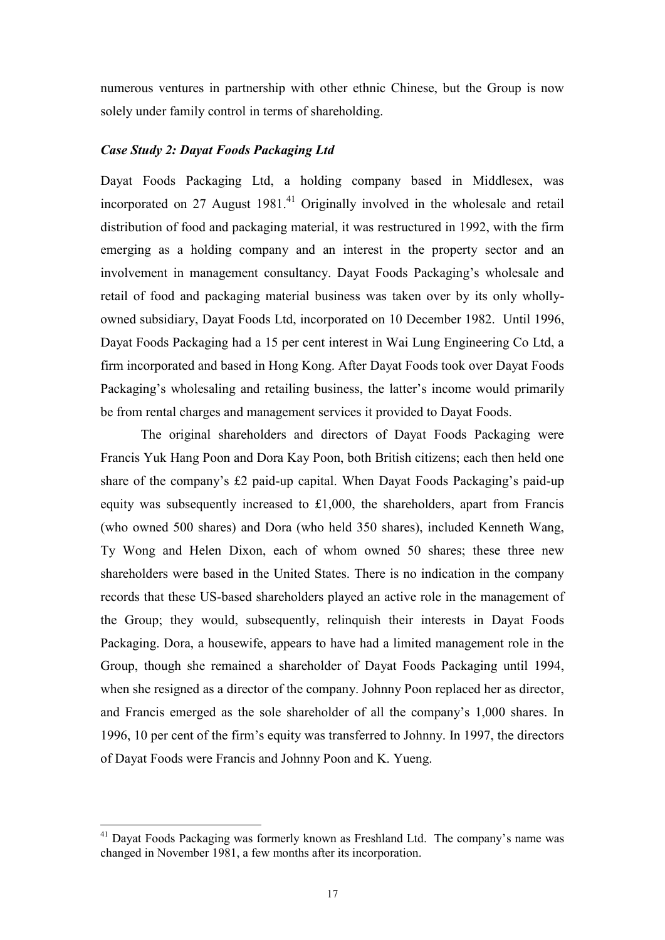numerous ventures in partnership with other ethnic Chinese, but the Group is now solely under family control in terms of shareholding.

## *Case Study 2: Dayat Foods Packaging Ltd*

Dayat Foods Packaging Ltd, a holding company based in Middlesex, was incorporated on 27 August  $1981<sup>41</sup>$  Originally involved in the wholesale and retail distribution of food and packaging material, it was restructured in 1992, with the firm emerging as a holding company and an interest in the property sector and an involvement in management consultancy. Dayat Foods Packaging's wholesale and retail of food and packaging material business was taken over by its only whollyowned subsidiary, Dayat Foods Ltd, incorporated on 10 December 1982. Until 1996, Dayat Foods Packaging had a 15 per cent interest in Wai Lung Engineering Co Ltd, a firm incorporated and based in Hong Kong. After Dayat Foods took over Dayat Foods Packaging's wholesaling and retailing business, the latter's income would primarily be from rental charges and management services it provided to Dayat Foods.

The original shareholders and directors of Dayat Foods Packaging were Francis Yuk Hang Poon and Dora Kay Poon, both British citizens; each then held one share of the company's £2 paid-up capital. When Dayat Foods Packaging's paid-up equity was subsequently increased to £1,000, the shareholders, apart from Francis (who owned 500 shares) and Dora (who held 350 shares), included Kenneth Wang, Ty Wong and Helen Dixon, each of whom owned 50 shares; these three new shareholders were based in the United States. There is no indication in the company records that these US-based shareholders played an active role in the management of the Group; they would, subsequently, relinquish their interests in Dayat Foods Packaging. Dora, a housewife, appears to have had a limited management role in the Group, though she remained a shareholder of Dayat Foods Packaging until 1994, when she resigned as a director of the company. Johnny Poon replaced her as director, and Francis emerged as the sole shareholder of all the company's 1,000 shares. In 1996, 10 per cent of the firm's equity was transferred to Johnny. In 1997, the directors of Dayat Foods were Francis and Johnny Poon and K. Yueng.

<sup>&</sup>lt;sup>41</sup> Dayat Foods Packaging was formerly known as Freshland Ltd. The company's name was changed in November 1981, a few months after its incorporation.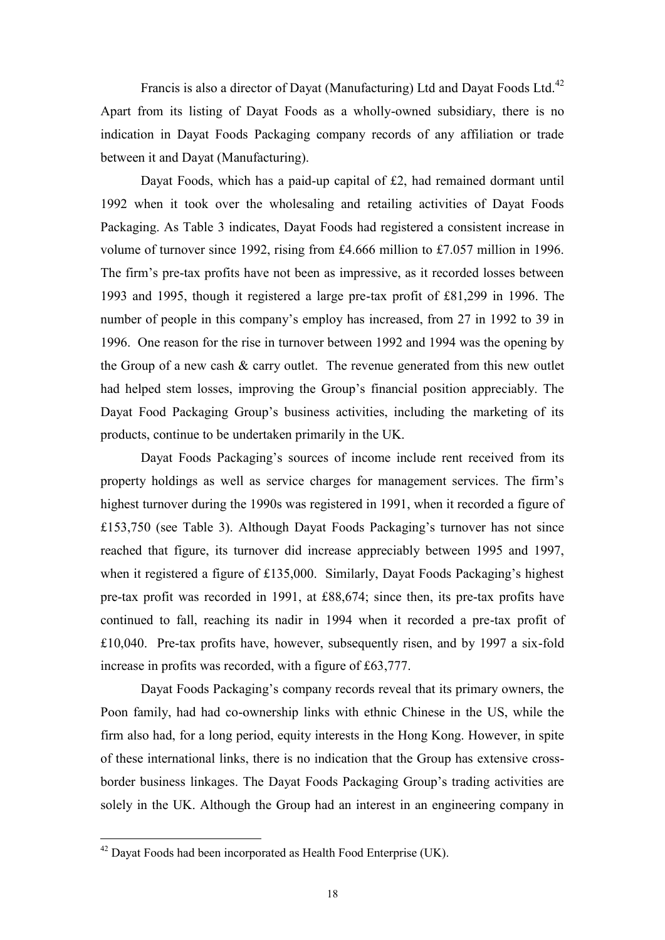Francis is also a director of Dayat (Manufacturing) Ltd and Dayat Foods Ltd.<sup>42</sup> Apart from its listing of Dayat Foods as a wholly-owned subsidiary, there is no indication in Dayat Foods Packaging company records of any affiliation or trade between it and Dayat (Manufacturing).

Dayat Foods, which has a paid-up capital of £2, had remained dormant until 1992 when it took over the wholesaling and retailing activities of Dayat Foods Packaging. As Table 3 indicates, Dayat Foods had registered a consistent increase in volume of turnover since 1992, rising from £4.666 million to £7.057 million in 1996. The firm's pre-tax profits have not been as impressive, as it recorded losses between 1993 and 1995, though it registered a large pre-tax profit of £81,299 in 1996. The number of people in this company's employ has increased, from 27 in 1992 to 39 in 1996. One reason for the rise in turnover between 1992 and 1994 was the opening by the Group of a new cash  $\&$  carry outlet. The revenue generated from this new outlet had helped stem losses, improving the Group's financial position appreciably. The Dayat Food Packaging Group's business activities, including the marketing of its products, continue to be undertaken primarily in the UK.

Dayat Foods Packaging's sources of income include rent received from its property holdings as well as service charges for management services. The firm's highest turnover during the 1990s was registered in 1991, when it recorded a figure of £153,750 (see Table 3). Although Dayat Foods Packaging's turnover has not since reached that figure, its turnover did increase appreciably between 1995 and 1997, when it registered a figure of £135,000. Similarly, Dayat Foods Packaging's highest pre-tax profit was recorded in 1991, at £88,674; since then, its pre-tax profits have continued to fall, reaching its nadir in 1994 when it recorded a pre-tax profit of £10,040. Pre-tax profits have, however, subsequently risen, and by 1997 a six-fold increase in profits was recorded, with a figure of £63,777.

Dayat Foods Packaging's company records reveal that its primary owners, the Poon family, had had co-ownership links with ethnic Chinese in the US, while the firm also had, for a long period, equity interests in the Hong Kong. However, in spite of these international links, there is no indication that the Group has extensive crossborder business linkages. The Dayat Foods Packaging Group's trading activities are solely in the UK. Although the Group had an interest in an engineering company in

 $42$  Davat Foods had been incorporated as Health Food Enterprise (UK).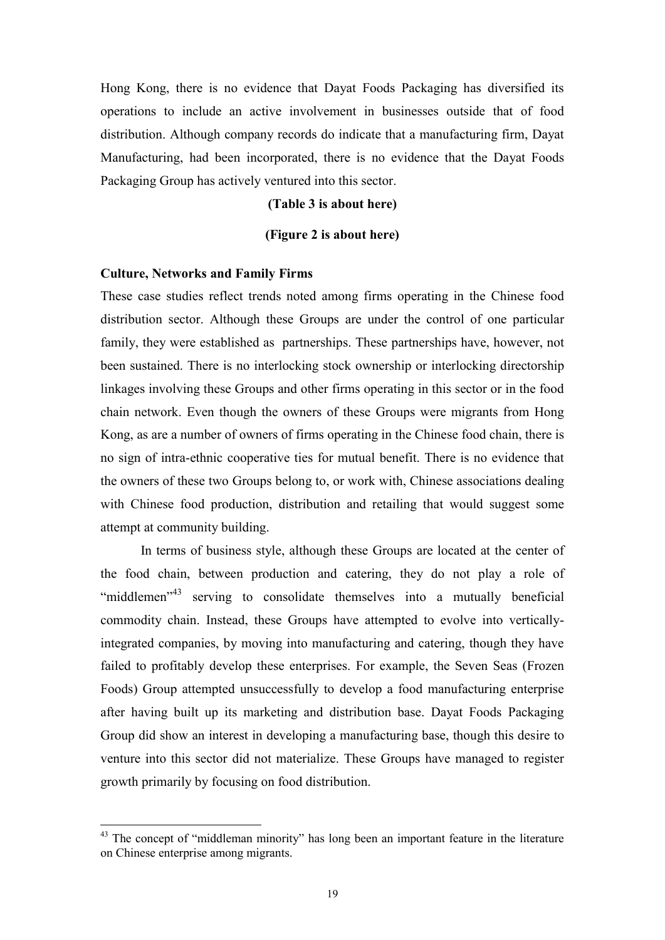Hong Kong, there is no evidence that Dayat Foods Packaging has diversified its operations to include an active involvement in businesses outside that of food distribution. Although company records do indicate that a manufacturing firm, Dayat Manufacturing, had been incorporated, there is no evidence that the Dayat Foods Packaging Group has actively ventured into this sector.

# **(Table 3 is about here)**

## **(Figure 2 is about here)**

#### **Culture, Networks and Family Firms**

1

These case studies reflect trends noted among firms operating in the Chinese food distribution sector. Although these Groups are under the control of one particular family, they were established as partnerships. These partnerships have, however, not been sustained. There is no interlocking stock ownership or interlocking directorship linkages involving these Groups and other firms operating in this sector or in the food chain network. Even though the owners of these Groups were migrants from Hong Kong, as are a number of owners of firms operating in the Chinese food chain, there is no sign of intra-ethnic cooperative ties for mutual benefit. There is no evidence that the owners of these two Groups belong to, or work with, Chinese associations dealing with Chinese food production, distribution and retailing that would suggest some attempt at community building.

In terms of business style, although these Groups are located at the center of the food chain, between production and catering, they do not play a role of "middlemen"<sup>43</sup> serving to consolidate themselves into a mutually beneficial commodity chain. Instead, these Groups have attempted to evolve into verticallyintegrated companies, by moving into manufacturing and catering, though they have failed to profitably develop these enterprises. For example, the Seven Seas (Frozen Foods) Group attempted unsuccessfully to develop a food manufacturing enterprise after having built up its marketing and distribution base. Dayat Foods Packaging Group did show an interest in developing a manufacturing base, though this desire to venture into this sector did not materialize. These Groups have managed to register growth primarily by focusing on food distribution.

 $43$  The concept of "middleman minority" has long been an important feature in the literature on Chinese enterprise among migrants.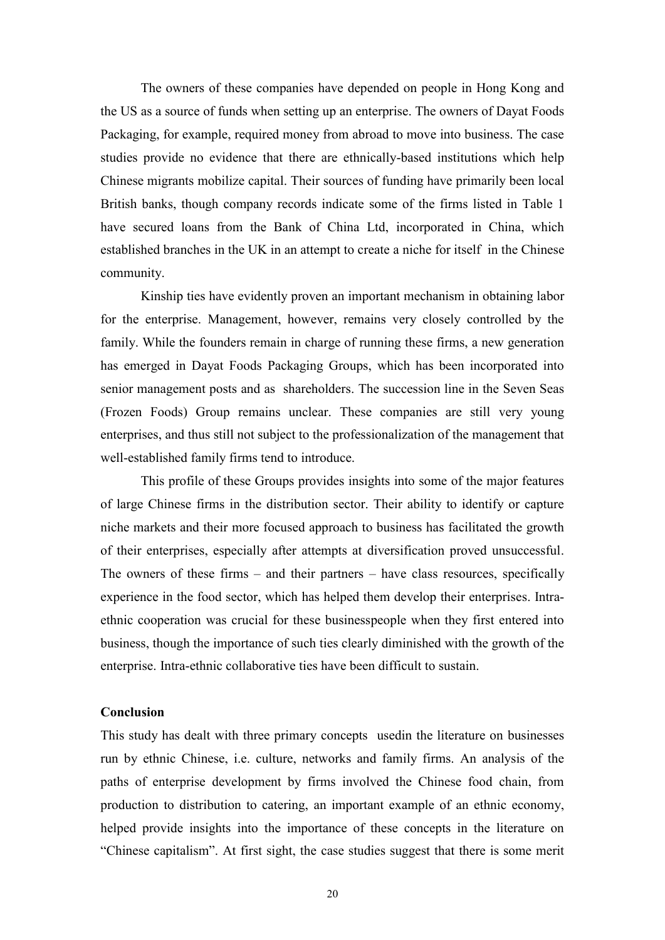The owners of these companies have depended on people in Hong Kong and the US as a source of funds when setting up an enterprise. The owners of Dayat Foods Packaging, for example, required money from abroad to move into business. The case studies provide no evidence that there are ethnically-based institutions which help Chinese migrants mobilize capital. Their sources of funding have primarily been local British banks, though company records indicate some of the firms listed in Table 1 have secured loans from the Bank of China Ltd, incorporated in China, which established branches in the UK in an attempt to create a niche for itself in the Chinese community.

Kinship ties have evidently proven an important mechanism in obtaining labor for the enterprise. Management, however, remains very closely controlled by the family. While the founders remain in charge of running these firms, a new generation has emerged in Dayat Foods Packaging Groups, which has been incorporated into senior management posts and as shareholders. The succession line in the Seven Seas (Frozen Foods) Group remains unclear. These companies are still very young enterprises, and thus still not subject to the professionalization of the management that well-established family firms tend to introduce.

This profile of these Groups provides insights into some of the major features of large Chinese firms in the distribution sector. Their ability to identify or capture niche markets and their more focused approach to business has facilitated the growth of their enterprises, especially after attempts at diversification proved unsuccessful. The owners of these firms – and their partners – have class resources, specifically experience in the food sector, which has helped them develop their enterprises. Intraethnic cooperation was crucial for these businesspeople when they first entered into business, though the importance of such ties clearly diminished with the growth of the enterprise. Intra-ethnic collaborative ties have been difficult to sustain.

## **Conclusion**

This study has dealt with three primary concepts usedin the literature on businesses run by ethnic Chinese, i.e. culture, networks and family firms. An analysis of the paths of enterprise development by firms involved the Chinese food chain, from production to distribution to catering, an important example of an ethnic economy, helped provide insights into the importance of these concepts in the literature on ―Chinese capitalism‖. At first sight, the case studies suggest that there is some merit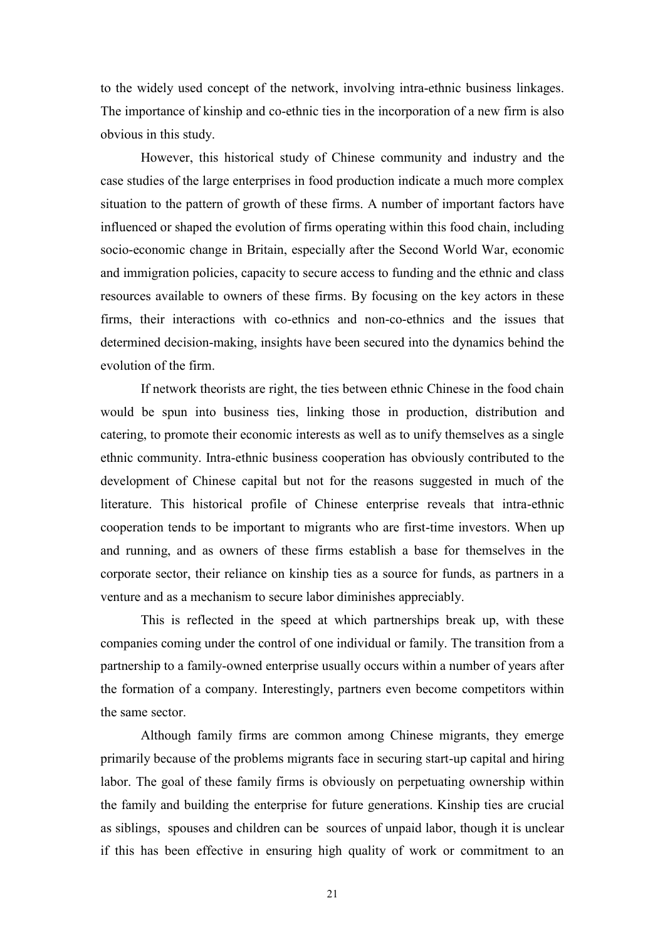to the widely used concept of the network, involving intra-ethnic business linkages. The importance of kinship and co-ethnic ties in the incorporation of a new firm is also obvious in this study.

However, this historical study of Chinese community and industry and the case studies of the large enterprises in food production indicate a much more complex situation to the pattern of growth of these firms. A number of important factors have influenced or shaped the evolution of firms operating within this food chain, including socio-economic change in Britain, especially after the Second World War, economic and immigration policies, capacity to secure access to funding and the ethnic and class resources available to owners of these firms. By focusing on the key actors in these firms, their interactions with co-ethnics and non-co-ethnics and the issues that determined decision-making, insights have been secured into the dynamics behind the evolution of the firm.

If network theorists are right, the ties between ethnic Chinese in the food chain would be spun into business ties, linking those in production, distribution and catering, to promote their economic interests as well as to unify themselves as a single ethnic community. Intra-ethnic business cooperation has obviously contributed to the development of Chinese capital but not for the reasons suggested in much of the literature. This historical profile of Chinese enterprise reveals that intra-ethnic cooperation tends to be important to migrants who are first-time investors. When up and running, and as owners of these firms establish a base for themselves in the corporate sector, their reliance on kinship ties as a source for funds, as partners in a venture and as a mechanism to secure labor diminishes appreciably.

This is reflected in the speed at which partnerships break up, with these companies coming under the control of one individual or family. The transition from a partnership to a family-owned enterprise usually occurs within a number of years after the formation of a company. Interestingly, partners even become competitors within the same sector.

Although family firms are common among Chinese migrants, they emerge primarily because of the problems migrants face in securing start-up capital and hiring labor. The goal of these family firms is obviously on perpetuating ownership within the family and building the enterprise for future generations. Kinship ties are crucial as siblings, spouses and children can be sources of unpaid labor, though it is unclear if this has been effective in ensuring high quality of work or commitment to an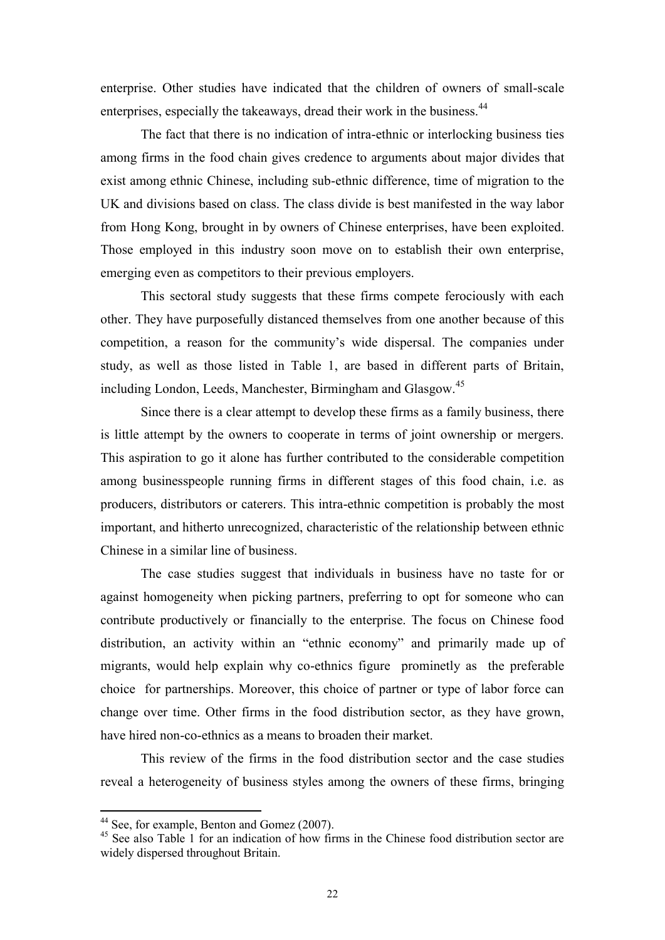enterprise. Other studies have indicated that the children of owners of small-scale enterprises, especially the takeaways, dread their work in the business.<sup>44</sup>

The fact that there is no indication of intra-ethnic or interlocking business ties among firms in the food chain gives credence to arguments about major divides that exist among ethnic Chinese, including sub-ethnic difference, time of migration to the UK and divisions based on class. The class divide is best manifested in the way labor from Hong Kong, brought in by owners of Chinese enterprises, have been exploited. Those employed in this industry soon move on to establish their own enterprise, emerging even as competitors to their previous employers.

This sectoral study suggests that these firms compete ferociously with each other. They have purposefully distanced themselves from one another because of this competition, a reason for the community's wide dispersal. The companies under study, as well as those listed in Table 1, are based in different parts of Britain, including London, Leeds, Manchester, Birmingham and Glasgow.<sup>45</sup>

Since there is a clear attempt to develop these firms as a family business, there is little attempt by the owners to cooperate in terms of joint ownership or mergers. This aspiration to go it alone has further contributed to the considerable competition among businesspeople running firms in different stages of this food chain, i.e. as producers, distributors or caterers. This intra-ethnic competition is probably the most important, and hitherto unrecognized, characteristic of the relationship between ethnic Chinese in a similar line of business.

The case studies suggest that individuals in business have no taste for or against homogeneity when picking partners, preferring to opt for someone who can contribute productively or financially to the enterprise. The focus on Chinese food distribution, an activity within an "ethnic economy" and primarily made up of migrants, would help explain why co-ethnics figure prominetly as the preferable choice for partnerships. Moreover, this choice of partner or type of labor force can change over time. Other firms in the food distribution sector, as they have grown, have hired non-co-ethnics as a means to broaden their market.

This review of the firms in the food distribution sector and the case studies reveal a heterogeneity of business styles among the owners of these firms, bringing

<sup>44</sup> See, for example, Benton and Gomez (2007).

<sup>&</sup>lt;sup>45</sup> See also Table 1 for an indication of how firms in the Chinese food distribution sector are widely dispersed throughout Britain.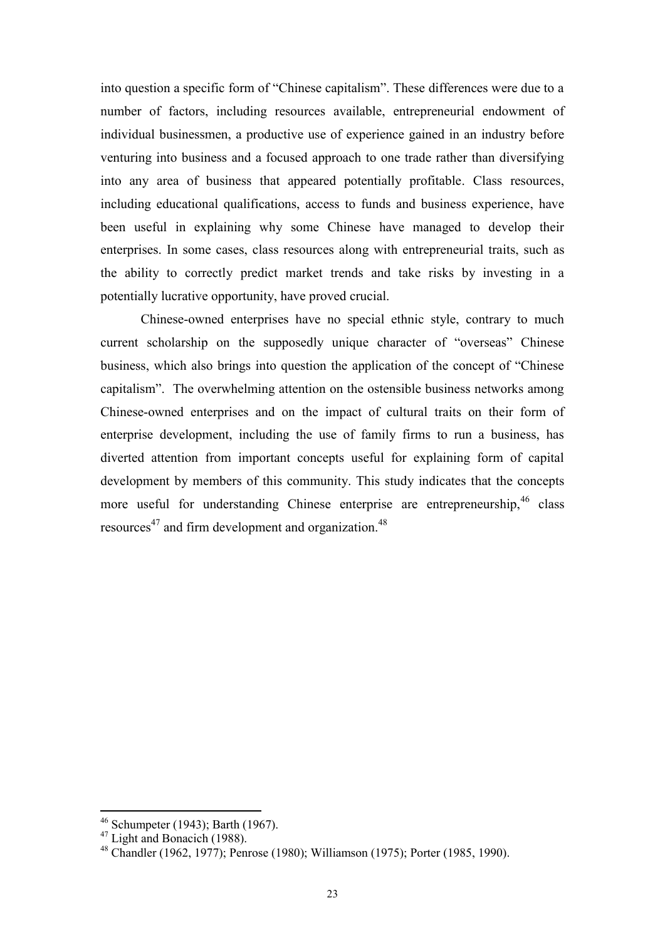into question a specific form of "Chinese capitalism". These differences were due to a number of factors, including resources available, entrepreneurial endowment of individual businessmen, a productive use of experience gained in an industry before venturing into business and a focused approach to one trade rather than diversifying into any area of business that appeared potentially profitable. Class resources, including educational qualifications, access to funds and business experience, have been useful in explaining why some Chinese have managed to develop their enterprises. In some cases, class resources along with entrepreneurial traits, such as the ability to correctly predict market trends and take risks by investing in a potentially lucrative opportunity, have proved crucial.

Chinese-owned enterprises have no special ethnic style, contrary to much current scholarship on the supposedly unique character of "overseas" Chinese business, which also brings into question the application of the concept of "Chinese" capitalism". The overwhelming attention on the ostensible business networks among Chinese-owned enterprises and on the impact of cultural traits on their form of enterprise development, including the use of family firms to run a business, has diverted attention from important concepts useful for explaining form of capital development by members of this community. This study indicates that the concepts more useful for understanding Chinese enterprise are entrepreneurship,  $46$  class resources<sup> $47$ </sup> and firm development and organization.<sup>48</sup>

 $46$  Schumpeter (1943); Barth (1967).

 $47$  Light and Bonacich (1988).

<sup>48</sup> Chandler (1962, 1977); Penrose (1980); Williamson (1975); Porter (1985, 1990).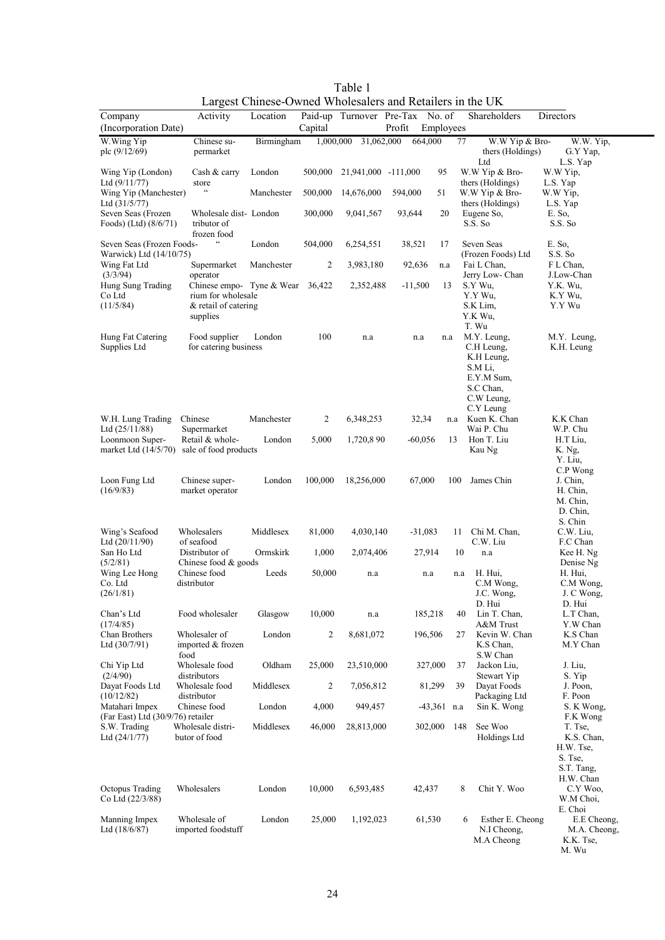Company Activity Location Paid-up Turnover Pre-Tax No. of Shareholders Directors (Incorporation Date) Capital Profit Employees W.Wing Yip Chinese su- Birmingham 1,000,000 31,062,000 664,000 77 W.W Yip & Bro- W.W. Yip, plc (9/12/69) permarket thers (Holdings) G.Y Yap, Ltd L.S. Yap Wing Yip (London) Cash & carry London 500,000 21,941,000 -111,000 95 W.W Yip & Bro- W.W Yip, Ltd (9/11/77) store store thers (Holdings) L.S. Yap<br>
"
Manchester 500,000 14,676,000 594,000 51 W.W Yip & Bro- W.W Yip, Wing Yip (Manchester) — Manchester 500,000 14,676,000 594,000 51 W.W Yip & Bro- W.W Yip,<br>Ltd (31/5/77) — Manchester 500,000 14,676,000 594,000 51 W.W Yip & Bro- W.W Yip, Ltd (31/5/77) thers (Holdings) L.S. Yappen Seven Seas (Frozen Wholesale dist-London 300,000 9,041,567 93,644 20 Eugene So, E. So, E. So, Wholesale dist- London 300,000 9,041,567 93,644 Foods) (Ltd) (8/6/71) tributor of S.S. So S.S. So S.S. So S.S. So S.S. So S.S. So frozen food Seven Seas (Frozen Foods- ― London 504,000 6,254,551 38,521 17 Seven Seas E. So, Warwick) Ltd (14/10/75)<br>
Wing Fat Ltd Supermarket Manchester 2 3.983.180 92.636 n.a. Fai L. Chan F. L. Chan Wing Fat Ltd Supermarket Manchester 2 3,983,180 92,636 n.a Fai L Chan, F L Chan, <br>(3/3/94) operator 0 operator chan J.Low-Chan (3/3/94) operator operator Jerry Low- Chan J.Low-Chan<br>Hung Sung Trading Chinese empo- Tyne & Wear 36,422 2,352,488 -11,500 13 S.Y Wu, Y.K. Wu, Chinese empo- Tyne & Wear 36,422 2,352,488 -11,500 13 S.Y Wu, Y.K. Wu, rium for wholesale Y.Y Wu, K.Y Wu, Co Ltd rium for wholesale Y.Y Wu, K.Y Wu, K.Y Wu, K.Y Wu, K.Y Wu, K.Y Wu, K.Y Wu, K.Y Wu, K.Y Wu, K.Y Wu, K.Y Wu, K.Y Wu, K.Y Wu, K.Y Wu, K.Y Wu, K.Y Wu, K.Y Wu, K.Y Wu, K.Y Wu, K.Y Wu, K.Y Wu, K.Y Wu, K.Y Wu, K.Y Wu, K.Y (11/5/84)  $\&$  retail of catering S.K Lim,<br>supplies  $Y$ .K Wu. supplies  $Y.K Wu$ , T. Wu Hung Fat Catering Food supplier London 100 n.a n.a n.a M.Y. Leung, M.Y. Leung, Supplies Ltd for catering business c.H Leung, K.H. Leung Supplies Ltd for catering business C.H Leung, K.H. Leung, K.H. Leung, K.H Leung,<br>S.M Li. S.M Li, E.Y.M Sum, S.C Chan, C.W Leung, C.Y Leung W.H. Lung Trading Chinese Manchester 2 6,348,253 32,34 n.a Kuen K. Chan K.K Chan Ltd (25/11/88) Supermarket Wai P. Chu Ltd (25/11/88) Supermarket W.P. Chu W.P. Chu W.P. Chu W.P. Chu Loonmoon Super- Retail & whole- London 5,000 1,720,8 90 -60,056 13 Hon T. Liu H.T Liu, market Ltd (14/5/70) sale of food products Kau Ng K. Ng, Y. Liu, C.P Wong Loon Fung Ltd Chinese super- London 100,000 18,256,000 67,000 100 James Chin J. Chin, (16/9/83) market operator H. Chin, M. Chin, M. Chin, M. Chin, D. Chin, S. Chin Wing's Seafood Wholesalers Middlesex 81,000 4,030,140 -31,083 11 Chi M. Chan, C.W. Liu,<br>Ltd (20/11/90) of seafood C.W. Liu F.C Chan Ltd (20/11/90) of seafood **C.W.** Liu F.C Chan San Ho Ltd Distributor of Ormskirk 1,000 2,074,406 27,914 10 n.a Kee H. Ng (5/2/81) Chinese food & goods<br>
Wing Lee Hong Chinese food Leeds 50,000 n.a n.a n.a H. Hui, H. Hui, H. Hui, Wing Lee Hong Chinese food Leeds 50,000 n.a n.a n.a H. Hui, H. Hui, H. Hui, Co. Ltd distributor C.M Wong, C.M Wong Co. Ltd distributor C.M Wong, C.M Wong,  $J.C.$  Wong,  $J.C.$  Wong,  $J.C.$  Wong,  $J.C.$  Wong, D. Hui D. Hui Chan's Ltd Food wholesaler Glasgow 10,000 n.a 185,218 40 Lin T. Chan, L.T Chan, 17/4/85) Chan (17/4/85)  $(A\&M$  Trust  $Y.W$  Chan Chan Brothers Wholesaler of London 2 8,681,072 196,506 27 Kevin W. Chan K.S Chan Ltd (30/7/91) imported & frozen K.S Chan, M.Y Chan food S.W Chan food S.W Channels S.W Channels S.W Channels S.W Channels S.W Channels S.W Channels S.W Channels S.W Channels S.W Channels S.W Channels S.W Channels S.W Channels S.W Channels S.W Channels S.W Channels S.W Channels S.W Chann Chi Yip Ltd Wholesale food Oldham 25,000 23,510,000 327,000 37 Jackon Liu, J. Liu, (2/4/90) distributors distributors contains the stewart Yip S. Yip S. Yip S. Yip Dayat Foods Ltd Wholesale food Middlesex 2 7,056,812 81,299 39 Dayat Foods J. Poon, (10/12/82) distributor Packaging Ltd F. Poon Matahari Impex Chinese food London 4,000 949,457 -43,361 n.a Sin K. Wong S. K Wong, (Far East) Ltd (30/9/76) retailer F.K Wong<br>S.W. Trading Wholesale distri- Middlesex 46,000 28,813,000 302,000 148 See Woo T. Tse, S.W. Trading Wholesale distri-<br>
Ltd (24/1/77) butor of food Middlesex 46,000 28,813,000 302,000 148 See Woo T. Tse,<br>
Holdings Ltd K.S. Chan, Ltd (24/1/77) butor of food **K.S.** Chan, H.W. Tse, S. Tse, S.T. Tang, H.W. Chan Octopus Trading Wholesalers London 10,000 6,593,485 42,437 8 Chit Y. Woo C.Y Woo, Co Ltd (22/3/88) W.M Choi,  $\frac{W.M}{C}$  Co Ltd (22/3/88) W.M Choi,  $\frac{W.M}{C}$  E. Choi Manning Impex Wholesale of London 25,000 1,192,023 61,530 6 Esther E. Cheong E.E Cheong, Ltd (18/6/87) imported foodstuff N.I Cheong, M.A. Cheong Ltd (18/6/87) imported foodstuff N.I Cheong, M.A. Cheong, M.A. Cheong, M.A. Cheong, M.A. Cheong, M.A. Cheong, M.A. Cheong, M.A. Cheong, M.A. Cheong, M.A. Cheong, M.A. Cheong, M.A. Cheong, M.A. Cheong, M.A. Cheong, M.A. Che M.A Cheong K.K. Tse,

|                                                           | Table 1 |  |
|-----------------------------------------------------------|---------|--|
| Largest Chinese-Owned Wholesalers and Retailers in the UK |         |  |

M. Wu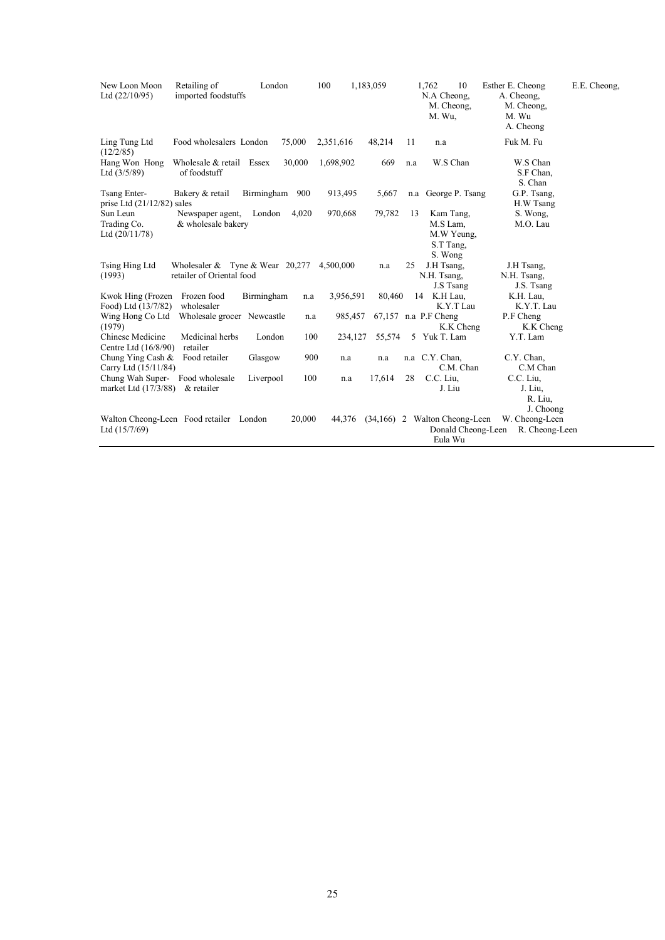| New Loon Moon<br>Ltd (22/10/95)                          | Retailing of<br>imported foodstuffs                              | London     |        | 100       | 1,183,059 |     | 10<br>1,762<br>N.A Cheong,<br>M. Cheong,<br>M. Wu,             | Esther E. Cheong<br>A. Cheong,<br>M. Cheong,<br>M. Wu<br>A. Cheong | E.E. Cheong, |
|----------------------------------------------------------|------------------------------------------------------------------|------------|--------|-----------|-----------|-----|----------------------------------------------------------------|--------------------------------------------------------------------|--------------|
| Ling Tung Ltd<br>(12/2/85)                               | Food wholesalers London                                          |            | 75,000 | 2,351,616 | 48,214    | 11  | n.a                                                            | Fuk M. Fu                                                          |              |
| Hang Won Hong<br>Ltd (3/5/89)                            | Wholesale & retail Essex<br>of foodstuff                         |            | 30,000 | 1,698,902 | 669       | n.a | W.S Chan                                                       | W.S Chan<br>S.F Chan,<br>S. Chan                                   |              |
| <b>Tsang Enter-</b><br>prise Ltd $(21/12/82)$ sales      | Bakery & retail                                                  | Birmingham | 900    | 913,495   | 5,667     |     | n.a George P. Tsang                                            | G.P. Tsang,<br>H.W Tsang                                           |              |
| Sun Leun<br>Trading Co.<br>Ltd (20/11/78)                | Newspaper agent,<br>& wholesale bakery                           | London     | 4,020  | 970,668   | 79,782    | 13  | Kam Tang,<br>M.S Lam,<br>M.W Yeung,<br>S.T Tang,<br>S. Wong    | S. Wong,<br>M.O. Lau                                               |              |
| Tsing Hing Ltd<br>(1993)                                 | Wholesaler $&$ Tyne $&$ Wear 20,277<br>retailer of Oriental food |            |        | 4,500,000 | n.a       | 25  | J.H Tsang,<br>N.H. Tsang,<br>J.S Tsang                         | J.H Tsang,<br>N.H. Tsang,<br>J.S. Tsang                            |              |
| Kwok Hing (Frozen<br>Food) Ltd (13/7/82)                 | Frozen food<br>wholesaler                                        | Birmingham | n.a    | 3,956,591 | 80,460    |     | K.H Lau.<br>14<br>K.Y.T Lau                                    | K.H. Lau.<br>K.Y.T. Lau                                            |              |
| Wing Hong Co Ltd<br>(1979)                               | Wholesale grocer Newcastle                                       |            | n.a    | 985,457   |           |     | 67,157 n.a P.F Cheng<br>K.K Cheng                              | P.F Cheng<br>K.K Cheng                                             |              |
| Chinese Medicine<br>Centre Ltd (16/8/90)                 | Medicinal herbs<br>retailer                                      | London     | 100    | 234,127   | 55,574    |     | 5 Yuk T. Lam                                                   | Y.T. Lam                                                           |              |
| Chung Ying Cash $\&$<br>Carry Ltd (15/11/84)             | Food retailer                                                    | Glasgow    | 900    | n.a       | n.a       |     | n.a C.Y. Chan.<br>C.M. Chan                                    | C.Y. Chan,<br>C.M Chan                                             |              |
| Chung Wah Super-<br>market Ltd (17/3/88)                 | Food wholesale<br>$&$ retailer                                   | Liverpool  | 100    | n.a       | 17,614    | 28  | C.C. Liu,<br>J. Liu                                            | C.C. Liu.<br>J. Liu.<br>R. Liu,<br>J. Choong                       |              |
| Walton Cheong-Leen Food retailer London<br>Ltd (15/7/69) |                                                                  |            | 20,000 | 44,376    |           |     | (34,166) 2 Walton Cheong-Leen<br>Donald Cheong-Leen<br>Eula Wu | W. Cheong-Leen<br>R. Cheong-Leen                                   |              |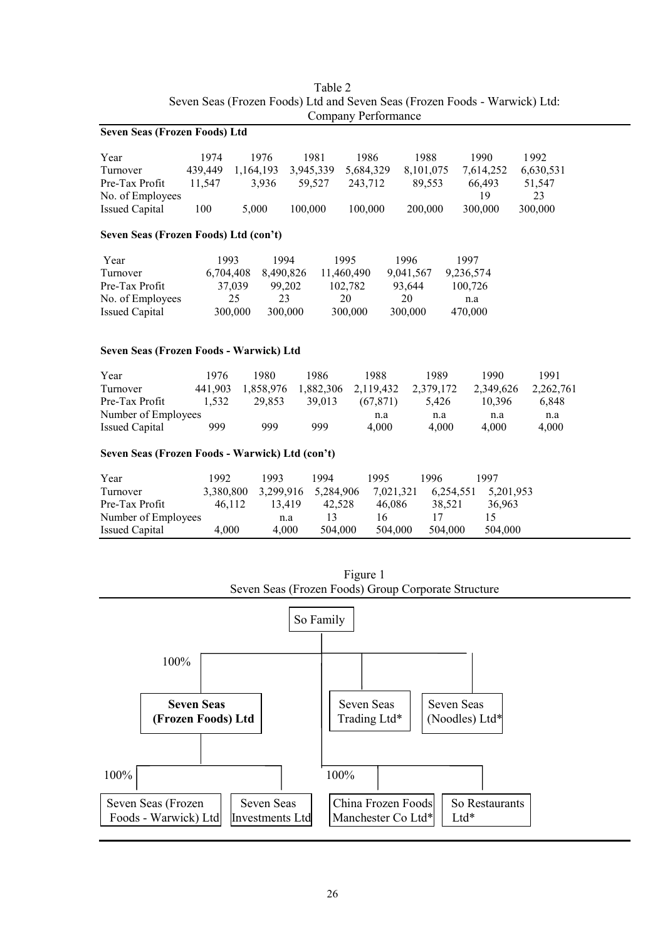| Seven Seas (Frozen Foods) Ltd                   |           |           |           |            |                    |           |           |           |           |
|-------------------------------------------------|-----------|-----------|-----------|------------|--------------------|-----------|-----------|-----------|-----------|
| Year                                            | 1974      | 1976      |           | 1981       | 1986               | 1988      |           | 1990      | 1992      |
| Turnover                                        | 439,449   | 1,164,193 | 3,945,339 |            | 5,684,329          | 8,101,075 |           | 7,614,252 | 6,630,531 |
| Pre-Tax Profit                                  | 11,547    | 3,936     |           | 59,527     | 243,712            | 89,553    |           | 66,493    | 51,547    |
| No. of Employees                                |           |           |           |            |                    |           |           | 19        | 23        |
| <b>Issued Capital</b>                           | 100       | 5,000     | 100,000   |            | 100,000            | 200,000   |           | 300,000   | 300,000   |
| Seven Seas (Frozen Foods) Ltd (con't)           |           |           |           |            |                    |           |           |           |           |
| Year                                            | 1993      |           | 1994      | 1995       |                    | 1996      |           | 1997      |           |
| Turnover                                        | 6,704,408 |           | 8,490,826 | 11,460,490 |                    | 9,041,567 |           | 9,236,574 |           |
| Pre-Tax Profit                                  |           | 37,039    | 99,202    | 102,782    |                    | 93,644    |           | 100,726   |           |
| No. of Employees                                |           | 25        | 23        | 20         |                    | 20        |           | n.a       |           |
| <b>Issued Capital</b><br>300,000                |           |           | 300,000   |            | 300,000<br>300,000 |           |           | 470,000   |           |
| Seven Seas (Frozen Foods - Warwick) Ltd         |           |           |           |            |                    |           |           |           |           |
| Year                                            | 1976      | 1980      |           | 1986       | 1988               |           | 1989      | 1990      | 1991      |
| Turnover                                        | 441,903   | 1,858,976 |           | 1,882,306  | 2,119,432          |           | 2,379,172 | 2,349,626 | 2,262,761 |
| Pre-Tax Profit                                  | 1,532     | 29,853    |           | 39,013     | (67, 871)          |           | 5,426     | 10,396    | 6,848     |
| Number of Employees                             |           |           |           |            | n.a                |           | n.a       | n.a       | n.a       |
| <b>Issued Capital</b>                           | 999       | 999       |           | 999        | 4,000              |           | 4,000     | 4,000     | 4,000     |
| Seven Seas (Frozen Foods - Warwick) Ltd (con't) |           |           |           |            |                    |           |           |           |           |
| Year                                            | 1992      | 1993      |           | 1994       | 1995               | 1996      |           | 1997      |           |
| Turnover                                        | 3,380,800 |           | 3,299,916 | 5,284,906  |                    | 7,021,321 | 6,254,551 | 5,201,953 |           |
| Pre-Tax Profit                                  | 46,112    |           | 13,419    | 42,528     | 46,086             |           | 38,521    | 36,963    |           |
| Number of Employees                             |           |           | n.a       | 13         | 16                 |           | 17        | 15        |           |
| <b>Issued Capital</b>                           | 4,000     |           | 4,000     | 504,000    |                    | 504,000   | 504,000   | 504,000   |           |

#### Table 2 Seven Seas (Frozen Foods) Ltd and Seven Seas (Frozen Foods - Warwick) Ltd: Company Performance

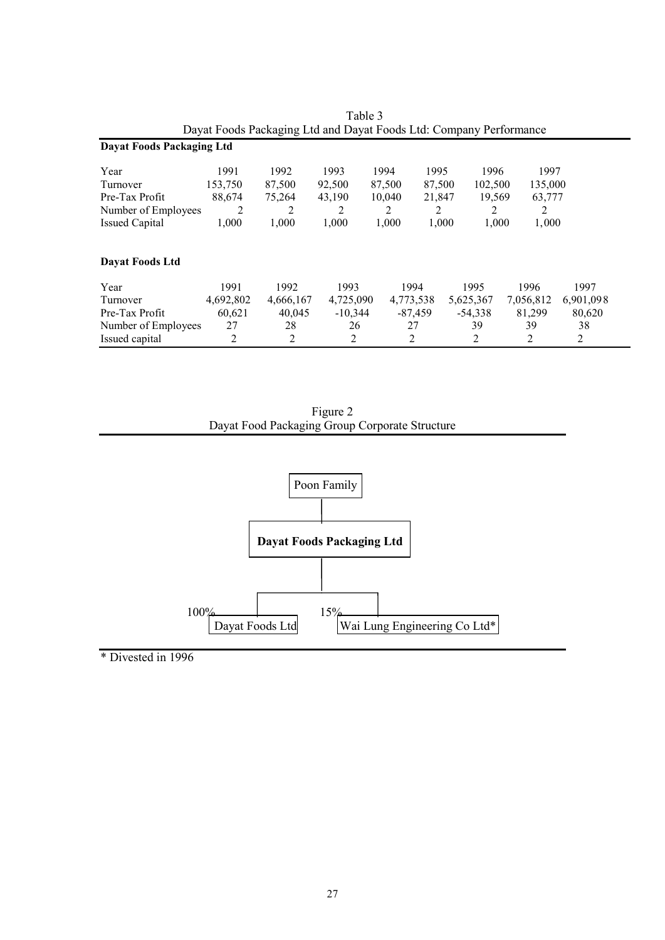|                                  | Dayat Foods Packaging Ltd and Dayat Foods Ltd: Company Performance |           |           |           |           |           |           |           |  |
|----------------------------------|--------------------------------------------------------------------|-----------|-----------|-----------|-----------|-----------|-----------|-----------|--|
| <b>Dayat Foods Packaging Ltd</b> |                                                                    |           |           |           |           |           |           |           |  |
| Year                             | 1991                                                               | 1992      | 1993      | 1994      | 1995      | 1996      | 1997      |           |  |
| Turnover                         | 153,750                                                            | 87,500    | 92,500    | 87,500    | 87,500    | 102,500   | 135,000   |           |  |
| Pre-Tax Profit                   | 88,674                                                             | 75,264    | 43,190    | 10,040    | 21,847    | 19,569    | 63,777    |           |  |
| Number of Employees              | 2                                                                  | 2         | 2         | 2         | 2         | 2         | 2         |           |  |
| <b>Issued Capital</b>            | 1,000                                                              | 1,000     | 1,000     | 1,000     | 1,000     | 1,000     |           | 1,000     |  |
| <b>Dayat Foods Ltd</b>           |                                                                    |           |           |           |           |           |           |           |  |
| Year                             | 1991                                                               | 1992      | 1993      | 1994      |           | 1995      | 1996      | 1997      |  |
| Turnover                         | 4,692,802                                                          | 4,666,167 | 4,725,090 | 4,773,538 |           | 5,625,367 | 7,056,812 | 6,901,098 |  |
| Pre-Tax Profit                   | 60,621                                                             | 40,045    | $-10,344$ |           | $-87,459$ | $-54,338$ | 81,299    | 80,620    |  |
| Number of Employees              | 27                                                                 | 28        | 26        | 27        |           | 39        | 39        | 38        |  |
| Issued capital                   | 2                                                                  | 2         | 2         | 2         |           | 2         | 2         | 2         |  |

| Table 3                                                            |
|--------------------------------------------------------------------|
| Dayat Foods Packaging Ltd and Dayat Foods Ltd: Company Performance |

Figure 2 Dayat Food Packaging Group Corporate Structure



\* Divested in 1996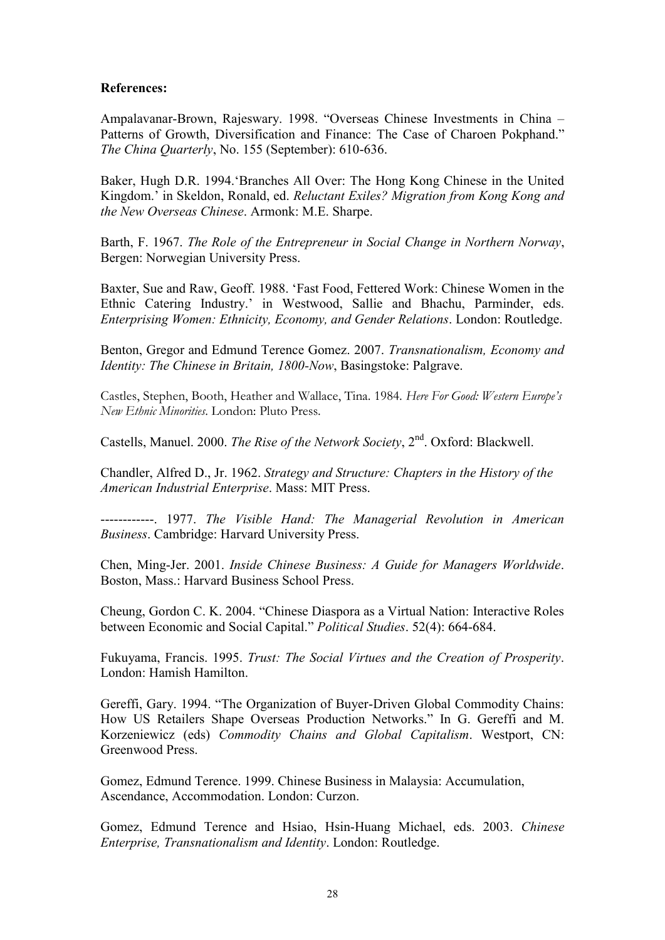# **References:**

Ampalavanar-Brown, Rajeswary. 1998. "Overseas Chinese Investments in China – Patterns of Growth, Diversification and Finance: The Case of Charoen Pokphand." *The China Quarterly*, No. 155 (September): 610-636.

Baker, Hugh D.R. 1994.‗Branches All Over: The Hong Kong Chinese in the United Kingdom.' in Skeldon, Ronald, ed. *Reluctant Exiles? Migration from Kong Kong and the New Overseas Chinese*. Armonk: M.E. Sharpe.

Barth, F. 1967. *The Role of the Entrepreneur in Social Change in Northern Norway*, Bergen: Norwegian University Press.

Baxter, Sue and Raw, Geoff. 1988. 'Fast Food, Fettered Work: Chinese Women in the Ethnic Catering Industry.' in Westwood, Sallie and Bhachu, Parminder, eds. *Enterprising Women: Ethnicity, Economy, and Gender Relations*. London: Routledge.

Benton, Gregor and Edmund Terence Gomez. 2007. *Transnationalism, Economy and Identity: The Chinese in Britain, 1800-Now*, Basingstoke: Palgrave.

Castles, Stephen, Booth, Heather and Wallace, Tina. 1984. *Here For Good: Western Europe's New Ethnic Minorities*. London: Pluto Press.

Castells, Manuel. 2000. *The Rise of the Network Society*, 2nd. Oxford: Blackwell.

Chandler, Alfred D., Jr. 1962. *Strategy and Structure: Chapters in the History of the American Industrial Enterprise*. Mass: MIT Press.

------------. 1977. *The Visible Hand: The Managerial Revolution in American Business*. Cambridge: Harvard University Press.

Chen, Ming-Jer. 2001. *Inside Chinese Business: A Guide for Managers Worldwide*. Boston, Mass.: Harvard Business School Press.

Cheung, Gordon C. K. 2004. "Chinese Diaspora as a Virtual Nation: Interactive Roles between Economic and Social Capital." *Political Studies*. 52(4): 664-684.

Fukuyama, Francis. 1995. *Trust: The Social Virtues and the Creation of Prosperity*. London: Hamish Hamilton.

Gereffi, Gary. 1994. "The Organization of Buyer-Driven Global Commodity Chains: How US Retailers Shape Overseas Production Networks." In G. Gereffi and M. Korzeniewicz (eds) *Commodity Chains and Global Capitalism*. Westport, CN: Greenwood Press.

Gomez, Edmund Terence. 1999. Chinese Business in Malaysia: Accumulation, Ascendance, Accommodation. London: Curzon.

Gomez, Edmund Terence and Hsiao, Hsin-Huang Michael, eds. 2003. *Chinese Enterprise, Transnationalism and Identity*. London: Routledge.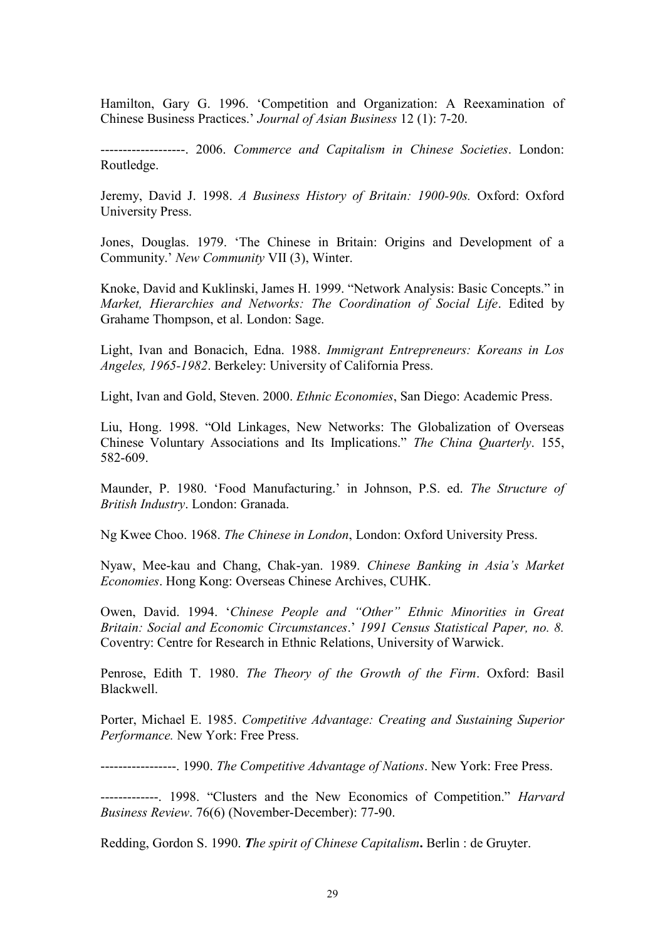Hamilton, Gary G. 1996. 'Competition and Organization: A Reexamination of Chinese Business Practices.' *Journal of Asian Business* 12 (1): 7-20.

-------------------. 2006. *Commerce and Capitalism in Chinese Societies*. London: Routledge.

Jeremy, David J. 1998. *A Business History of Britain: 1900-90s.* Oxford: Oxford University Press.

Jones, Douglas. 1979. 'The Chinese in Britain: Origins and Development of a Community.' *New Community* VII (3), Winter.

Knoke, David and Kuklinski, James H. 1999. "Network Analysis: Basic Concepts." in *Market, Hierarchies and Networks: The Coordination of Social Life*. Edited by Grahame Thompson, et al. London: Sage.

Light, Ivan and Bonacich, Edna. 1988. *Immigrant Entrepreneurs: Koreans in Los Angeles, 1965-1982*. Berkeley: University of California Press.

Light, Ivan and Gold, Steven. 2000. *Ethnic Economies*, San Diego: Academic Press.

Liu, Hong. 1998. "Old Linkages, New Networks: The Globalization of Overseas Chinese Voluntary Associations and Its Implications.‖ *The China Quarterly*. 155, 582-609.

Maunder, P. 1980. 'Food Manufacturing.' in Johnson, P.S. ed. *The Structure of British Industry*. London: Granada.

Ng Kwee Choo. 1968. *The Chinese in London*, London: Oxford University Press.

Nyaw, Mee-kau and Chang, Chak-yan. 1989. *Chinese Banking in Asia's Market Economies*. Hong Kong: Overseas Chinese Archives, CUHK.

Owen, David. 1994. ‗*Chinese People and "Other" Ethnic Minorities in Great Britain: Social and Economic Circumstances*.' *1991 Census Statistical Paper, no. 8.*  Coventry: Centre for Research in Ethnic Relations, University of Warwick.

Penrose, Edith T. 1980. *The Theory of the Growth of the Firm*. Oxford: Basil Blackwell.

Porter, Michael E. 1985. *[Competitive Advantage: Creating and Sustaining Superior](http://library.dur.ac.uk/search?/aporter%2C+michael/aporter+michael/1%2C3%2C14%2CB/frameset&FF=aporter+michael+e+1947&3%2C%2C12/indexsort=-)  [Performance.](http://library.dur.ac.uk/search?/aporter%2C+michael/aporter+michael/1%2C3%2C14%2CB/frameset&FF=aporter+michael+e+1947&3%2C%2C12/indexsort=-)* New York: Free Press.

-----------------. 1990. *The Competitive Advantage of Nations*. New York: Free Press.

------------. 1998. "Clusters and the New Economics of Competition." *Harvard Business Review*. 76(6) (November-December): 77-90.

Redding, Gordon S. 1990. *The spirit of Chinese Capitalism***.** Berlin : de Gruyter.